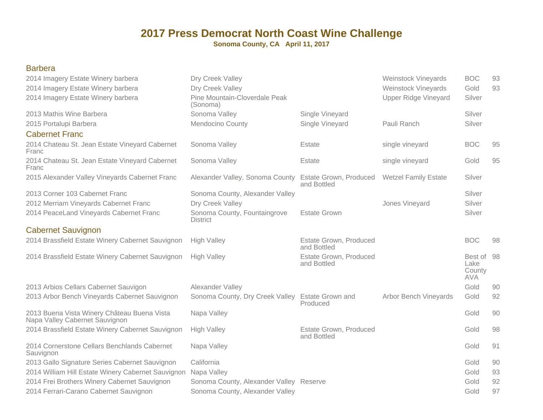**Sonoma County, CA April 11, 2017**

#### Barbera

| 2014 Imagery Estate Winery barbera<br>2014 Imagery Estate Winery barbera<br>2014 Imagery Estate Winery barbera | Dry Creek Valley<br>Dry Creek Valley<br>Pine Mountain-Cloverdale Peak<br>(Sonoma) |                                       | <b>Weinstock Vineyards</b><br>Weinstock Vineyards<br><b>Upper Ridge Vineyard</b> | <b>BOC</b><br>Gold<br>Silver               | 93<br>93 |
|----------------------------------------------------------------------------------------------------------------|-----------------------------------------------------------------------------------|---------------------------------------|----------------------------------------------------------------------------------|--------------------------------------------|----------|
| 2013 Mathis Wine Barbera                                                                                       | Sonoma Valley                                                                     | Single Vineyard                       |                                                                                  | Silver                                     |          |
| 2015 Portalupi Barbera                                                                                         | <b>Mendocino County</b>                                                           | Single Vineyard                       | Pauli Ranch                                                                      | Silver                                     |          |
| <b>Cabernet Franc</b>                                                                                          |                                                                                   |                                       |                                                                                  |                                            |          |
| 2014 Chateau St. Jean Estate Vineyard Cabernet<br>Franc                                                        | Sonoma Valley                                                                     | Estate                                | single vineyard                                                                  | <b>BOC</b>                                 | 95       |
| 2014 Chateau St. Jean Estate Vineyard Cabernet<br>Franc                                                        | Sonoma Valley                                                                     | Estate                                | single vineyard                                                                  | Gold                                       | 95       |
| 2015 Alexander Valley Vineyards Cabernet Franc                                                                 | Alexander Valley, Sonoma County                                                   | Estate Grown, Produced<br>and Bottled | <b>Wetzel Family Estate</b>                                                      | Silver                                     |          |
| 2013 Corner 103 Cabernet Franc                                                                                 | Sonoma County, Alexander Valley                                                   |                                       |                                                                                  | Silver                                     |          |
| 2012 Merriam Vineyards Cabernet Franc                                                                          | Dry Creek Valley                                                                  |                                       | Jones Vineyard                                                                   | Silver                                     |          |
| 2014 PeaceLand Vineyards Cabernet Franc                                                                        | Sonoma County, Fountaingrove<br><b>District</b>                                   | <b>Estate Grown</b>                   |                                                                                  | Silver                                     |          |
| <b>Cabernet Sauvignon</b>                                                                                      |                                                                                   |                                       |                                                                                  |                                            |          |
| 2014 Brassfield Estate Winery Cabernet Sauvignon                                                               | <b>High Valley</b>                                                                | Estate Grown, Produced<br>and Bottled |                                                                                  | <b>BOC</b>                                 | 98       |
| 2014 Brassfield Estate Winery Cabernet Sauvignon                                                               | <b>High Valley</b>                                                                | Estate Grown, Produced<br>and Bottled |                                                                                  | Best of 98<br>Lake<br>County<br><b>AVA</b> |          |
| 2013 Arbios Cellars Cabernet Sauvigon                                                                          | Alexander Valley                                                                  |                                       |                                                                                  | Gold                                       | 90       |
| 2013 Arbor Bench Vineyards Cabernet Sauvignon                                                                  | Sonoma County, Dry Creek Valley                                                   | <b>Estate Grown and</b><br>Produced   | <b>Arbor Bench Vineyards</b>                                                     | Gold                                       | 92       |
| 2013 Buena Vista Winery Château Buena Vista<br>Napa Valley Cabernet Sauvignon                                  | Napa Valley                                                                       |                                       |                                                                                  | Gold                                       | 90       |
| 2014 Brassfield Estate Winery Cabernet Sauvignon                                                               | <b>High Valley</b>                                                                | Estate Grown, Produced<br>and Bottled |                                                                                  | Gold                                       | 98       |
| 2014 Cornerstone Cellars Benchlands Cabernet<br>Sauvignon                                                      | Napa Valley                                                                       |                                       |                                                                                  | Gold                                       | 91       |
| 2013 Gallo Signature Series Cabernet Sauvignon                                                                 | California                                                                        |                                       |                                                                                  | Gold                                       | 90       |
| 2014 William Hill Estate Winery Cabernet Sauvignon                                                             | Napa Valley                                                                       |                                       |                                                                                  | Gold                                       | 93       |
| 2014 Frei Brothers Winery Cabernet Sauvignon                                                                   | Sonoma County, Alexander Valley Reserve                                           |                                       |                                                                                  | Gold                                       | 92       |
| 2014 Ferrari-Carano Cabernet Sauvignon                                                                         | Sonoma County, Alexander Valley                                                   |                                       |                                                                                  | Gold                                       | 97       |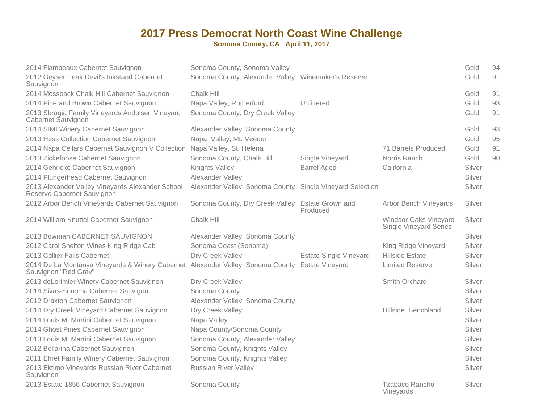| 2014 Flambeaux Cabernet Sauvignon<br>2012 Geyser Peak Devil's Inkstand Cabernet<br>Sauvignon                            | Sonoma County, Sonoma Valley<br>Sonoma County, Alexander Valley Winemaker's Reserve |                               |                                                        | Gold<br>Gold | 94<br>91 |
|-------------------------------------------------------------------------------------------------------------------------|-------------------------------------------------------------------------------------|-------------------------------|--------------------------------------------------------|--------------|----------|
| 2014 Mossback Chalk Hill Cabernet Sauvignon                                                                             | Chalk Hill                                                                          |                               |                                                        | Gold         | 91       |
| 2014 Pine and Brown Cabernet Sauvignon                                                                                  | Napa Valley, Rutherford                                                             | Unfiltered                    |                                                        | Gold         | 93       |
| 2013 Sbragia Family Vineyards Andolsen Vineyard<br>Cabernet Sauvignon                                                   | Sonoma County, Dry Creek Valley                                                     |                               |                                                        | Gold         | 91       |
| 2014 SIMI Winery Cabernet Sauvignon                                                                                     | Alexander Valley, Sonoma County                                                     |                               |                                                        | Gold         | 93       |
| 2013 Hess Collection Cabernet Sauvignon                                                                                 | Napa Valley, Mt. Veeder                                                             |                               |                                                        | Gold         | 95       |
| 2014 Napa Cellars Cabernet Sauvignon V Collection                                                                       | Napa Valley, St. Helena                                                             |                               | 71 Barrels Produced                                    | Gold         | 91       |
| 2013 Zickefoose Cabernet Sauvignon                                                                                      | Sonoma County, Chalk Hill                                                           | Single Vineyard               | Norris Ranch                                           | Gold         | 90       |
| 2014 Gehricke Cabernet Sauvignon                                                                                        | Knights Valley                                                                      | <b>Barrel Aged</b>            | California                                             | Silver       |          |
| 2014 Plungerhead Cabernet Sauvignon                                                                                     | Alexander Valley                                                                    |                               |                                                        | Silver       |          |
| 2013 Alexander Valley Vineyards Alexander School<br>Reserve Cabernet Sauvignon                                          | Alexander Valley, Sonoma County Single Vineyard Selection                           |                               |                                                        | Silver       |          |
| 2012 Arbor Bench Vineyards Cabernet Sauvignon                                                                           | Sonoma County, Dry Creek Valley Estate Grown and                                    | Produced                      | <b>Arbor Bench Vineyards</b>                           | Silver       |          |
| 2014 William Knuttel Cabernet Sauvignon                                                                                 | Chalk Hill                                                                          |                               | Windsor Oaks Vineyard<br><b>Single Vineyard Series</b> | Silver       |          |
| 2013 Bowman CABERNET SAUVIGNON                                                                                          | Alexander Valley, Sonoma County                                                     |                               |                                                        | Silver       |          |
| 2012 Carol Shelton Wines King Ridge Cab                                                                                 | Sonoma Coast (Sonoma)                                                               |                               | King Ridge Vineyard                                    | Silver       |          |
| 2013 Collier Falls Cabernet                                                                                             | Dry Creek Valley                                                                    | <b>Estate Single Vineyard</b> | Hillside Estate                                        | Silver       |          |
| 2014 De La Montanya Vineyards & Winery Cabernet Alexander Valley, Sonoma County Estate Vineyard<br>Sauvignon "Red Grav" |                                                                                     |                               | <b>Limited Reserve</b>                                 | Silver       |          |
| 2013 deLorimier Winery Cabernet Sauvignon                                                                               | Dry Creek Valley                                                                    |                               | Smith Orchard                                          | Silver       |          |
| 2014 Sivas-Sonoma Cabernet Sauvigon                                                                                     | Sonoma County                                                                       |                               |                                                        | Silver       |          |
| 2012 Draxton Cabernet Sauvignon                                                                                         | Alexander Valley, Sonoma County                                                     |                               |                                                        | Silver       |          |
| 2014 Dry Creek Vineyard Cabernet Sauvignon                                                                              | Dry Creek Valley                                                                    |                               | Hillside Benchland                                     | Silver       |          |
| 2014 Louis M. Martini Cabernet Sauvignon                                                                                | Napa Valley                                                                         |                               |                                                        | Silver       |          |
| 2014 Ghost Pines Cabernet Sauvignon                                                                                     | Napa County/Sonoma County                                                           |                               |                                                        | Silver       |          |
| 2013 Louis M. Martini Cabernet Sauvignon                                                                                | Sonoma County, Alexander Valley                                                     |                               |                                                        | Silver       |          |
| 2012 Bellarina Cabernet Sauvignon                                                                                       | Sonoma County, Knights Valley                                                       |                               |                                                        | Silver       |          |
| 2011 Ehret Family Winery Cabernet Sauvignon                                                                             | Sonoma County, Knights Valley                                                       |                               |                                                        | Silver       |          |
| 2013 Ektimo Vineyards Russian River Cabernet<br>Sauvignon                                                               | <b>Russian River Valley</b>                                                         |                               |                                                        | Silver       |          |
| 2013 Estate 1856 Cabernet Sauvignon                                                                                     | Sonoma County                                                                       |                               | Tzabaco Rancho<br>Vineyards                            | Silver       |          |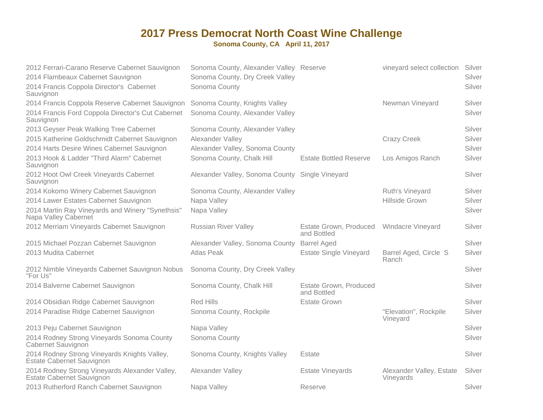| 2012 Ferrari-Carano Reserve Cabernet Sauvignon                              | Sonoma County, Alexander Valley Reserve         |                                       | vineyard select collection            | Silver |
|-----------------------------------------------------------------------------|-------------------------------------------------|---------------------------------------|---------------------------------------|--------|
| 2014 Flambeaux Cabernet Sauvignon                                           | Sonoma County, Dry Creek Valley                 |                                       |                                       | Silver |
| 2014 Francis Coppola Director's Cabernet<br>Sauvignon                       | Sonoma County                                   |                                       |                                       | Silver |
| 2014 Francis Coppola Reserve Cabernet Sauvignon                             | Sonoma County, Knights Valley                   |                                       | Newman Vineyard                       | Silver |
| 2014 Francis Ford Coppola Director's Cut Cabernet<br>Sauvignon              | Sonoma County, Alexander Valley                 |                                       |                                       | Silver |
| 2013 Geyser Peak Walking Tree Cabernet                                      | Sonoma County, Alexander Valley                 |                                       |                                       | Silver |
| 2015 Katherine Goldschmidt Cabernet Sauvignon                               | Alexander Valley                                |                                       | <b>Crazy Creek</b>                    | Silver |
| 2014 Harts Desire Wines Cabernet Sauvignon                                  | Alexander Valley, Sonoma County                 |                                       |                                       | Silver |
| 2013 Hook & Ladder "Third Alarm" Cabernet<br>Sauvignon                      | Sonoma County, Chalk Hill                       | <b>Estate Bottled Reserve</b>         | Los Amigos Ranch                      | Silver |
| 2012 Hoot Owl Creek Vineyards Cabernet<br>Sauvignon                         | Alexander Valley, Sonoma County Single Vineyard |                                       |                                       | Silver |
| 2014 Kokomo Winery Cabernet Sauvignon                                       | Sonoma County, Alexander Valley                 |                                       | Ruth's Vineyard                       | Silver |
| 2014 Lawer Estates Cabernet Sauvignon                                       | Napa Valley                                     |                                       | <b>Hillside Grown</b>                 | Silver |
| 2014 Martin Ray Vineyards and Winery "Synethsis"<br>Napa Valley Cabernet    | Napa Valley                                     |                                       |                                       | Silver |
| 2012 Merriam Vineyards Cabernet Sauvignon                                   | <b>Russian River Valley</b>                     | Estate Grown, Produced<br>and Bottled | Windacre Vineyard                     | Silver |
| 2015 Michael Pozzan Cabernet Sauvignon                                      | Alexander Valley, Sonoma County                 | <b>Barrel Aged</b>                    |                                       | Silver |
| 2013 Mudita Cabernet                                                        | <b>Atlas Peak</b>                               | <b>Estate Single Vineyard</b>         | Barrel Aged, Circle S<br>Ranch        | Silver |
| 2012 Nimble Vineyards Cabernet Sauvignon Nobus<br>"For Us"                  | Sonoma County, Dry Creek Valley                 |                                       |                                       | Silver |
| 2014 Balverne Cabernet Sauvignon                                            | Sonoma County, Chalk Hill                       | Estate Grown, Produced<br>and Bottled |                                       | Silver |
| 2014 Obsidian Ridge Cabernet Sauvignon                                      | <b>Red Hills</b>                                | <b>Estate Grown</b>                   |                                       | Silver |
| 2014 Paradise Ridge Cabernet Sauvignon                                      | Sonoma County, Rockpile                         |                                       | "Elevation", Rockpile<br>Vineyard     | Silver |
| 2013 Peju Cabernet Sauvignon                                                | Napa Valley                                     |                                       |                                       | Silver |
| 2014 Rodney Strong Vineyards Sonoma County<br>Cabernet Sauvignon            | Sonoma County                                   |                                       |                                       | Silver |
| 2014 Rodney Strong Vineyards Knights Valley,<br>Estate Cabernet Sauvignon   | Sonoma County, Knights Valley                   | Estate                                |                                       | Silver |
| 2014 Rodney Strong Vineyards Alexander Valley,<br>Estate Cabernet Sauvignon | Alexander Valley                                | <b>Estate Vineyards</b>               | Alexander Valley, Estate<br>Vineyards | Silver |
| 2013 Rutherford Ranch Cabernet Sauvignon                                    | Napa Valley                                     | Reserve                               |                                       | Silver |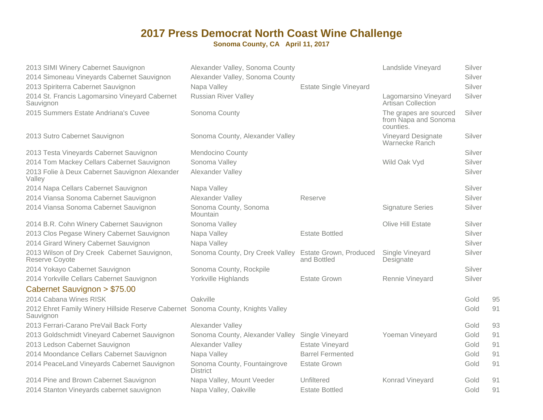| 2013 SIMI Winery Cabernet Sauvignon                                                           | Alexander Valley, Sonoma County                        |                               | Landslide Vineyard                                          | Silver |    |
|-----------------------------------------------------------------------------------------------|--------------------------------------------------------|-------------------------------|-------------------------------------------------------------|--------|----|
| 2014 Simoneau Vineyards Cabernet Sauvignon                                                    | Alexander Valley, Sonoma County                        |                               |                                                             | Silver |    |
| 2013 Spiriterra Cabernet Sauvignon                                                            | Napa Valley                                            | <b>Estate Single Vineyard</b> |                                                             | Silver |    |
| 2014 St. Francis Lagomarsino Vineyard Cabernet<br>Sauvignon                                   | <b>Russian River Valley</b>                            |                               | Lagomarsino Vineyard<br><b>Artisan Collection</b>           | Silver |    |
| 2015 Summers Estate Andriana's Cuvee                                                          | Sonoma County                                          |                               | The grapes are sourced<br>from Napa and Sonoma<br>counties. | Silver |    |
| 2013 Sutro Cabernet Sauvignon                                                                 | Sonoma County, Alexander Valley                        |                               | <b>Vineyard Designate</b><br>Warnecke Ranch                 | Silver |    |
| 2013 Testa Vineyards Cabernet Sauvignon                                                       | <b>Mendocino County</b>                                |                               |                                                             | Silver |    |
| 2014 Tom Mackey Cellars Cabernet Sauvignon                                                    | Sonoma Valley                                          |                               | Wild Oak Vyd                                                | Silver |    |
| 2013 Folie à Deux Cabernet Sauvignon Alexander<br>Valley                                      | Alexander Valley                                       |                               |                                                             | Silver |    |
| 2014 Napa Cellars Cabernet Sauvignon                                                          | Napa Valley                                            |                               |                                                             | Silver |    |
| 2014 Viansa Sonoma Cabernet Sauvignon                                                         | Alexander Valley                                       | Reserve                       |                                                             | Silver |    |
| 2014 Viansa Sonoma Cabernet Sauvignon                                                         | Sonoma County, Sonoma<br>Mountain                      |                               | <b>Signature Series</b>                                     | Silver |    |
| 2014 B.R. Cohn Winery Cabernet Sauvignon                                                      | Sonoma Valley                                          |                               | Olive Hill Estate                                           | Silver |    |
| 2013 Clos Pegase Winery Cabernet Sauvignon                                                    | Napa Valley                                            | <b>Estate Bottled</b>         |                                                             | Silver |    |
| 2014 Girard Winery Cabernet Sauvignon                                                         | Napa Valley                                            |                               |                                                             | Silver |    |
| 2013 Wilson of Dry Creek Cabernet Sauvignon,<br>Reserve Coyote                                | Sonoma County, Dry Creek Valley Estate Grown, Produced | and Bottled                   | Single Vineyard<br>Designate                                | Silver |    |
| 2014 Yokayo Cabernet Sauvignon                                                                | Sonoma County, Rockpile                                |                               |                                                             | Silver |    |
| 2014 Yorkville Cellars Cabernet Sauvignon                                                     | Yorkville Highlands                                    | <b>Estate Grown</b>           | Rennie Vineyard                                             | Silver |    |
| Cabernet Sauvignon > \$75.00                                                                  |                                                        |                               |                                                             |        |    |
| 2014 Cabana Wines RISK                                                                        | Oakville                                               |                               |                                                             | Gold   | 95 |
| 2012 Ehret Family Winery Hillside Reserve Cabernet Sonoma County, Knights Valley<br>Sauvignon |                                                        |                               |                                                             | Gold   | 91 |
| 2013 Ferrari-Carano PreVail Back Forty                                                        | Alexander Valley                                       |                               |                                                             | Gold   | 93 |
| 2013 Goldschmidt Vineyard Cabernet Sauvignon                                                  | Sonoma County, Alexander Valley                        | Single Vineyard               | Yoeman Vineyard                                             | Gold   | 91 |
| 2013 Ledson Cabernet Sauvignon                                                                | Alexander Valley                                       | <b>Estate Vineyard</b>        |                                                             | Gold   | 91 |
| 2014 Moondance Cellars Cabernet Sauvignon                                                     | Napa Valley                                            | <b>Barrel Fermented</b>       |                                                             | Gold   | 91 |
| 2014 PeaceLand Vineyards Cabernet Sauvignon                                                   | Sonoma County, Fountaingrove<br><b>District</b>        | <b>Estate Grown</b>           |                                                             | Gold   | 91 |
| 2014 Pine and Brown Cabernet Sauvignon                                                        | Napa Valley, Mount Veeder                              | Unfiltered                    | Konrad Vineyard                                             | Gold   | 91 |
| 2014 Stanton Vineyards cabernet sauvignon                                                     | Napa Valley, Oakville                                  | <b>Estate Bottled</b>         |                                                             | Gold   | 91 |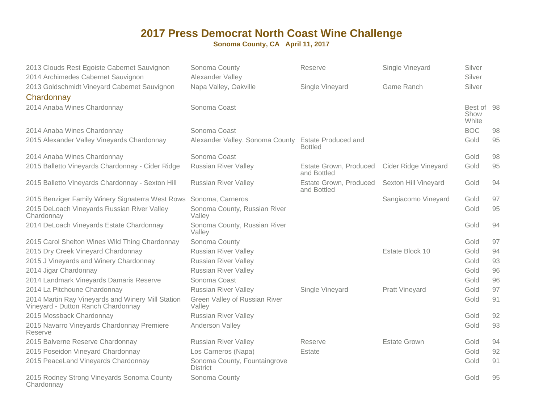| 2013 Clouds Rest Egoiste Cabernet Sauvignon<br>2014 Archimedes Cabernet Sauvignon       | Sonoma County<br>Alexander Valley                   | Reserve                               | Single Vineyard       | Silver<br>Silver            |    |
|-----------------------------------------------------------------------------------------|-----------------------------------------------------|---------------------------------------|-----------------------|-----------------------------|----|
| 2013 Goldschmidt Vineyard Cabernet Sauvignon                                            | Napa Valley, Oakville                               | Single Vineyard                       | Game Ranch            | Silver                      |    |
| Chardonnay                                                                              |                                                     |                                       |                       |                             |    |
| 2014 Anaba Wines Chardonnay                                                             | Sonoma Coast                                        |                                       |                       | Best of 98<br>Show<br>White |    |
| 2014 Anaba Wines Chardonnay                                                             | Sonoma Coast                                        |                                       |                       | <b>BOC</b>                  | 98 |
| 2015 Alexander Valley Vineyards Chardonnay                                              | Alexander Valley, Sonoma County Estate Produced and | <b>Bottled</b>                        |                       | Gold                        | 95 |
| 2014 Anaba Wines Chardonnay                                                             | Sonoma Coast                                        |                                       |                       | Gold                        | 98 |
| 2015 Balletto Vineyards Chardonnay - Cider Ridge                                        | <b>Russian River Valley</b>                         | Estate Grown, Produced<br>and Bottled | Cider Ridge Vineyard  | Gold                        | 95 |
| 2015 Balletto Vineyards Chardonnay - Sexton Hill                                        | <b>Russian River Valley</b>                         | Estate Grown, Produced<br>and Bottled | Sexton Hill Vineyard  | Gold                        | 94 |
| 2015 Benziger Family Winery Signaterra West Rows Sonoma, Carneros                       |                                                     |                                       | Sangiacomo Vineyard   | Gold                        | 97 |
| 2015 DeLoach Vineyards Russian River Valley<br>Chardonnay                               | Sonoma County, Russian River<br>Valley              |                                       |                       | Gold                        | 95 |
| 2014 DeLoach Vineyards Estate Chardonnay                                                | Sonoma County, Russian River<br>Valley              |                                       |                       | Gold                        | 94 |
| 2015 Carol Shelton Wines Wild Thing Chardonnay                                          | Sonoma County                                       |                                       |                       | Gold                        | 97 |
| 2015 Dry Creek Vineyard Chardonnay                                                      | <b>Russian River Valley</b>                         |                                       | Estate Block 10       | Gold                        | 94 |
| 2015 J Vineyards and Winery Chardonnay                                                  | <b>Russian River Valley</b>                         |                                       |                       | Gold                        | 93 |
| 2014 Jigar Chardonnay                                                                   | <b>Russian River Valley</b>                         |                                       |                       | Gold                        | 96 |
| 2014 Landmark Vineyards Damaris Reserve                                                 | Sonoma Coast                                        |                                       |                       | Gold                        | 96 |
| 2014 La Pitchoune Chardonnay                                                            | <b>Russian River Valley</b>                         | Single Vineyard                       | <b>Pratt Vineyard</b> | Gold                        | 97 |
| 2014 Martin Ray Vineyards and Winery Mill Station<br>Vineyard - Dutton Ranch Chardonnay | Green Valley of Russian River<br>Valley             |                                       |                       | Gold                        | 91 |
| 2015 Mossback Chardonnay                                                                | <b>Russian River Valley</b>                         |                                       |                       | Gold                        | 92 |
| 2015 Navarro Vineyards Chardonnay Premiere<br>Reserve                                   | Anderson Valley                                     |                                       |                       | Gold                        | 93 |
| 2015 Balverne Reserve Chardonnay                                                        | Russian River Valley                                | Reserve                               | <b>Estate Grown</b>   | Gold                        | 94 |
| 2015 Poseidon Vineyard Chardonnay                                                       | Los Carneros (Napa)                                 | Estate                                |                       | Gold                        | 92 |
| 2015 PeaceLand Vineyards Chardonnay                                                     | Sonoma County, Fountaingrove<br><b>District</b>     |                                       |                       | Gold                        | 91 |
| 2015 Rodney Strong Vineyards Sonoma County<br>Chardonnay                                | Sonoma County                                       |                                       |                       | Gold                        | 95 |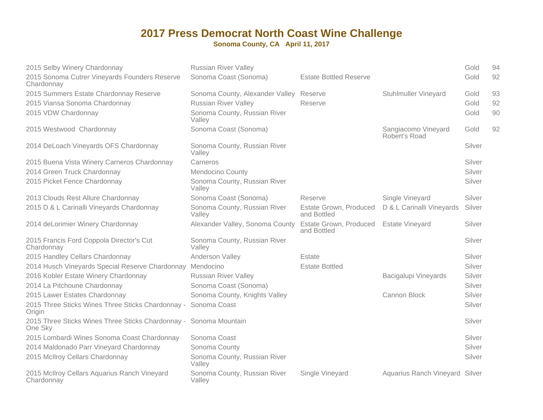| 2015 Selby Winery Chardonnay                                                 | <b>Russian River Valley</b>             |                                              |                                      | Gold   | 94 |
|------------------------------------------------------------------------------|-----------------------------------------|----------------------------------------------|--------------------------------------|--------|----|
| 2015 Sonoma Cutrer Vineyards Founders Reserve<br>Chardonnay                  | Sonoma Coast (Sonoma)                   | <b>Estate Bottled Reserve</b>                |                                      | Gold   | 92 |
| 2015 Summers Estate Chardonnay Reserve                                       | Sonoma County, Alexander Valley Reserve |                                              | <b>Stuhlmuller Vineyard</b>          | Gold   | 93 |
| 2015 Viansa Sonoma Chardonnay                                                | <b>Russian River Valley</b>             | Reserve                                      |                                      | Gold   | 92 |
| 2015 VDW Chardonnay                                                          | Sonoma County, Russian River<br>Valley  |                                              |                                      | Gold   | 90 |
| 2015 Westwood Chardonnay                                                     | Sonoma Coast (Sonoma)                   |                                              | Sangiacomo Vineyard<br>Robert's Road | Gold   | 92 |
| 2014 DeLoach Vineyards OFS Chardonnay                                        | Sonoma County, Russian River<br>Valley  |                                              |                                      | Silver |    |
| 2015 Buena Vista Winery Carneros Chardonnay                                  | Carneros                                |                                              |                                      | Silver |    |
| 2014 Green Truck Chardonnay                                                  | Mendocino County                        |                                              |                                      | Silver |    |
| 2015 Picket Fence Chardonnay                                                 | Sonoma County, Russian River<br>Valley  |                                              |                                      | Silver |    |
| 2013 Clouds Rest Allure Chardonnay                                           | Sonoma Coast (Sonoma)                   | Reserve                                      | Single Vineyard                      | Silver |    |
| 2015 D & L Carinalli Vineyards Chardonnay                                    | Sonoma County, Russian River<br>Valley  | Estate Grown, Produced<br>and Bottled        | D & L Carinalli Vineyards            | Silver |    |
| 2014 deLorimier Winery Chardonnay                                            | Alexander Valley, Sonoma County         | <b>Estate Grown, Produced</b><br>and Bottled | <b>Estate Vineyard</b>               | Silver |    |
| 2015 Francis Ford Coppola Director's Cut<br>Chardonnay                       | Sonoma County, Russian River<br>Valley  |                                              |                                      | Silver |    |
| 2015 Handley Cellars Chardonnay                                              | Anderson Valley                         | Estate                                       |                                      | Silver |    |
| 2014 Husch Vineyards Special Reserve Chardonnay Mendocino                    |                                         | <b>Estate Bottled</b>                        |                                      | Silver |    |
| 2016 Kobler Estate Winery Chardonnay                                         | <b>Russian River Valley</b>             |                                              | Bacigalupi Vineyards                 | Silver |    |
| 2014 La Pitchoune Chardonnay                                                 | Sonoma Coast (Sonoma)                   |                                              |                                      | Silver |    |
| 2015 Lawer Estates Chardonnay                                                | Sonoma County, Knights Valley           |                                              | Cannon Block                         | Silver |    |
| 2015 Three Sticks Wines Three Sticks Chardonnay - Sonoma Coast<br>Origin     |                                         |                                              |                                      | Silver |    |
| 2015 Three Sticks Wines Three Sticks Chardonnay - Sonoma Mountain<br>One Sky |                                         |                                              |                                      | Silver |    |
| 2015 Lombardi Wines Sonoma Coast Chardonnay                                  | Sonoma Coast                            |                                              |                                      | Silver |    |
| 2014 Maldonado Parr Vineyard Chardonnay                                      | Sonoma County                           |                                              |                                      | Silver |    |
| 2015 McIlroy Cellars Chardonnay                                              | Sonoma County, Russian River<br>Valley  |                                              |                                      | Silver |    |
| 2015 McIlroy Cellars Aquarius Ranch Vineyard<br>Chardonnay                   | Sonoma County, Russian River<br>Valley  | Single Vineyard                              | Aquarius Ranch Vineyard Silver       |        |    |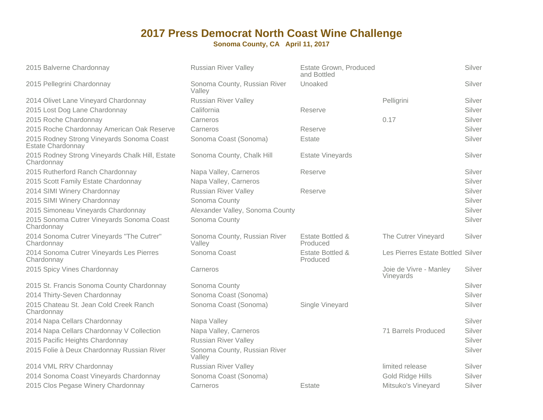| 2015 Balverne Chardonnay                                              | <b>Russian River Valley</b>            | <b>Estate Grown, Produced</b><br>and Bottled |                                     | Silver |
|-----------------------------------------------------------------------|----------------------------------------|----------------------------------------------|-------------------------------------|--------|
| 2015 Pellegrini Chardonnay                                            | Sonoma County, Russian River<br>Valley | Unoaked                                      |                                     | Silver |
| 2014 Olivet Lane Vineyard Chardonnay                                  | <b>Russian River Valley</b>            |                                              | Pelligrini                          | Silver |
| 2015 Lost Dog Lane Chardonnay                                         | California                             | Reserve                                      |                                     | Silver |
| 2015 Roche Chardonnay                                                 | Carneros                               |                                              | 0.17                                | Silver |
| 2015 Roche Chardonnay American Oak Reserve                            | Carneros                               | Reserve                                      |                                     | Silver |
| 2015 Rodney Strong Vineyards Sonoma Coast<br><b>Estate Chardonnay</b> | Sonoma Coast (Sonoma)                  | Estate                                       |                                     | Silver |
| 2015 Rodney Strong Vineyards Chalk Hill, Estate<br>Chardonnay         | Sonoma County, Chalk Hill              | <b>Estate Vineyards</b>                      |                                     | Silver |
| 2015 Rutherford Ranch Chardonnay                                      | Napa Valley, Carneros                  | Reserve                                      |                                     | Silver |
| 2015 Scott Family Estate Chardonnay                                   | Napa Valley, Carneros                  |                                              |                                     | Silver |
| 2014 SIMI Winery Chardonnay                                           | <b>Russian River Valley</b>            | Reserve                                      |                                     | Silver |
| 2015 SIMI Winery Chardonnay                                           | Sonoma County                          |                                              |                                     | Silver |
| 2015 Simoneau Vineyards Chardonnay                                    | Alexander Valley, Sonoma County        |                                              |                                     | Silver |
| 2015 Sonoma Cutrer Vineyards Sonoma Coast<br>Chardonnay               | Sonoma County                          |                                              |                                     | Silver |
| 2014 Sonoma Cutrer Vineyards "The Cutrer"<br>Chardonnay               | Sonoma County, Russian River<br>Valley | Estate Bottled &<br>Produced                 | The Cutrer Vineyard                 | Silver |
| 2014 Sonoma Cutrer Vineyards Les Pierres<br>Chardonnay                | Sonoma Coast                           | Estate Bottled &<br>Produced                 | Les Pierres Estate Bottled Silver   |        |
| 2015 Spicy Vines Chardonnay                                           | Carneros                               |                                              | Joie de Vivre - Manley<br>Vineyards | Silver |
| 2015 St. Francis Sonoma County Chardonnay                             | Sonoma County                          |                                              |                                     | Silver |
| 2014 Thirty-Seven Chardonnay                                          | Sonoma Coast (Sonoma)                  |                                              |                                     | Silver |
| 2015 Chateau St. Jean Cold Creek Ranch<br>Chardonnay                  | Sonoma Coast (Sonoma)                  | Single Vineyard                              |                                     | Silver |
| 2014 Napa Cellars Chardonnay                                          | Napa Valley                            |                                              |                                     | Silver |
| 2014 Napa Cellars Chardonnay V Collection                             | Napa Valley, Carneros                  |                                              | 71 Barrels Produced                 | Silver |
| 2015 Pacific Heights Chardonnay                                       | <b>Russian River Valley</b>            |                                              |                                     | Silver |
| 2015 Folie à Deux Chardonnay Russian River                            | Sonoma County, Russian River<br>Valley |                                              |                                     | Silver |
| 2014 VML RRV Chardonnay                                               | <b>Russian River Valley</b>            |                                              | limited release                     | Silver |
| 2014 Sonoma Coast Vineyards Chardonnay                                | Sonoma Coast (Sonoma)                  |                                              | Gold Ridge Hills                    | Silver |
| 2015 Clos Pegase Winery Chardonnay                                    | Carneros                               | Estate                                       | Mitsuko's Vineyard                  | Silver |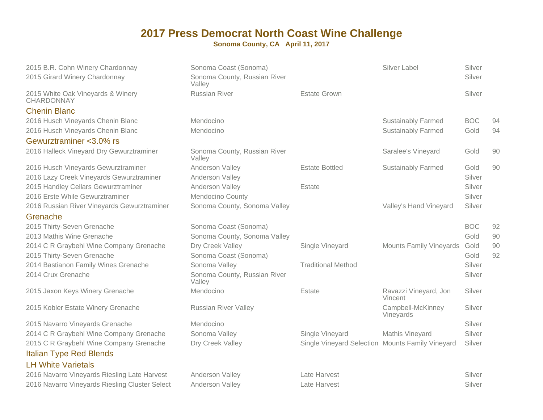**Sonoma County, CA April 11, 2017**

2015 B.R. Cohn Winery Chardonnay2015 Girard Winery Chardonnay

2015 White Oak Vineyards & WineryCHARDONNAY

Chenin Blanc

 2016 Husch Vineyards Chenin Blanc2016 Husch Vineyards Chenin Blanc

Gewurztraminer <3.0% rs2016 Halleck Vineyard Dry Gewurztraminer

2016 Husch Vineyards Gewurztraminer2016 Lazy Creek Vineyards Gewurztraminer2015 Handley Cellars Gewurztraminer2016 Erste While Gewurztraminer2016 Russian River Vineyards Gewurztraminer

#### Grenache

 2015 Thirty-Seven Grenache2013 Mathis Wine Grenache2014 C R Graybehl Wine Company Grenache2015 Thirty-Seven Grenache2014 Bastianon Family Wines Grenache2014 Crux Grenache

2015 Jaxon Keys Winery Grenache

2015 Kobler Estate Winery Grenache

2015 Navarro Vineyards Grenache2014 C R Graybehl Wine Company Grenache2015 C R Graybehl Wine Company GrenacheItalian Type Red BlendsLH White Varietals

 2016 Navarro Vineyards Riesling Late Harvest2016 Navarro Vineyards Riesling Cluster Select

| Sonoma County, Russian River<br>Valley |                                          |                                  | Silver                                                           |                  |
|----------------------------------------|------------------------------------------|----------------------------------|------------------------------------------------------------------|------------------|
| <b>Russian River</b>                   | <b>Estate Grown</b>                      |                                  | Silver                                                           |                  |
| Mendocino                              |                                          | <b>Sustainably Farmed</b>        | <b>BOC</b>                                                       | 94               |
| Mendocino                              |                                          | <b>Sustainably Farmed</b>        | Gold                                                             | 94               |
|                                        |                                          |                                  |                                                                  |                  |
| Sonoma County, Russian River<br>Valley |                                          | Saralee's Vineyard               | Gold                                                             | 90               |
| Anderson Valley                        | <b>Estate Bottled</b>                    | <b>Sustainably Farmed</b>        | Gold                                                             | 90               |
| Anderson Valley                        |                                          |                                  | Silver                                                           |                  |
| Anderson Valley                        | Estate                                   |                                  | Silver                                                           |                  |
| Mendocino County                       |                                          |                                  | Silver                                                           |                  |
| Sonoma County, Sonoma Valley           |                                          | Valley's Hand Vineyard           | Silver                                                           |                  |
| Sonoma Coast (Sonoma)                  |                                          |                                  | <b>BOC</b>                                                       | 92               |
| Sonoma County, Sonoma Valley           |                                          |                                  | Gold                                                             | 90               |
| Dry Creek Valley                       | Single Vineyard                          | <b>Mounts Family Vineyards</b>   | Gold                                                             | 90               |
| Sonoma Coast (Sonoma)                  |                                          |                                  | Gold                                                             | 92               |
| Sonoma Valley                          | <b>Traditional Method</b>                |                                  | Silver                                                           |                  |
| Sonoma County, Russian River<br>Valley |                                          |                                  | Silver                                                           |                  |
| Mendocino                              | Estate                                   | Ravazzi Vineyard, Jon<br>Vincent | Silver                                                           |                  |
| <b>Russian River Valley</b>            |                                          | Campbell-McKinney<br>Vineyards   | Silver                                                           |                  |
| Mendocino                              |                                          |                                  | Silver                                                           |                  |
| Sonoma Valley                          | Single Vineyard                          | Mathis Vineyard                  | Silver                                                           |                  |
| Dry Creek Valley                       |                                          |                                  | Silver                                                           |                  |
|                                        |                                          |                                  |                                                                  |                  |
|                                        |                                          |                                  |                                                                  |                  |
|                                        |                                          |                                  |                                                                  |                  |
| <b>Anderson Valley</b>                 | Late Harvest                             |                                  | Silver                                                           |                  |
|                                        | Sonoma Coast (Sonoma)<br>Anderson Valley | Late Harvest                     | Silver Label<br>Single Vineyard Selection Mounts Family Vineyard | Silver<br>Silver |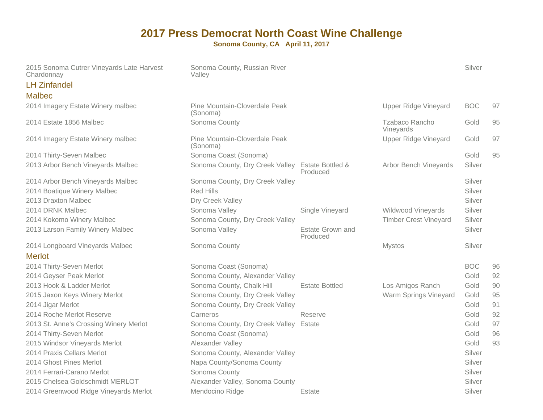| 2015 Sonoma Cutrer Vineyards Late Harvest<br>Chardonnay | Sonoma County, Russian River<br>Valley    |                              |                              | Silver     |    |
|---------------------------------------------------------|-------------------------------------------|------------------------------|------------------------------|------------|----|
| <b>LH Zinfandel</b>                                     |                                           |                              |                              |            |    |
| <b>Malbec</b>                                           |                                           |                              |                              |            |    |
| 2014 Imagery Estate Winery malbec                       | Pine Mountain-Cloverdale Peak<br>(Sonoma) |                              | <b>Upper Ridge Vineyard</b>  | <b>BOC</b> | 97 |
| 2014 Estate 1856 Malbec                                 | Sonoma County                             |                              | Tzabaco Rancho<br>Vineyards  | Gold       | 95 |
| 2014 Imagery Estate Winery malbec                       | Pine Mountain-Cloverdale Peak<br>(Sonoma) |                              | Upper Ridge Vineyard         | Gold       | 97 |
| 2014 Thirty-Seven Malbec                                | Sonoma Coast (Sonoma)                     |                              |                              | Gold       | 95 |
| 2013 Arbor Bench Vineyards Malbec                       | Sonoma County, Dry Creek Valley           | Estate Bottled &<br>Produced | <b>Arbor Bench Vineyards</b> | Silver     |    |
| 2014 Arbor Bench Vineyards Malbec                       | Sonoma County, Dry Creek Valley           |                              |                              | Silver     |    |
| 2014 Boatique Winery Malbec                             | <b>Red Hills</b>                          |                              |                              | Silver     |    |
| 2013 Draxton Malbec                                     | Dry Creek Valley                          |                              |                              | Silver     |    |
| 2014 DRNK Malbec                                        | Sonoma Valley                             | Single Vineyard              | Wildwood Vineyards           | Silver     |    |
| 2014 Kokomo Winery Malbec                               | Sonoma County, Dry Creek Valley           |                              | <b>Timber Crest Vineyard</b> | Silver     |    |
| 2013 Larson Family Winery Malbec                        | Sonoma Valley                             | Estate Grown and<br>Produced |                              | Silver     |    |
| 2014 Longboard Vineyards Malbec                         | Sonoma County                             |                              | <b>Mystos</b>                | Silver     |    |
| <b>Merlot</b>                                           |                                           |                              |                              |            |    |
| 2014 Thirty-Seven Merlot                                | Sonoma Coast (Sonoma)                     |                              |                              | <b>BOC</b> | 96 |
| 2014 Geyser Peak Merlot                                 | Sonoma County, Alexander Valley           |                              |                              | Gold       | 92 |
| 2013 Hook & Ladder Merlot                               | Sonoma County, Chalk Hill                 | <b>Estate Bottled</b>        | Los Amigos Ranch             | Gold       | 90 |
| 2015 Jaxon Keys Winery Merlot                           | Sonoma County, Dry Creek Valley           |                              | Warm Springs Vineyard        | Gold       | 95 |
| 2014 Jigar Merlot                                       | Sonoma County, Dry Creek Valley           |                              |                              | Gold       | 91 |
| 2014 Roche Merlot Reserve                               | Carneros                                  | Reserve                      |                              | Gold       | 92 |
| 2013 St. Anne's Crossing Winery Merlot                  | Sonoma County, Dry Creek Valley Estate    |                              |                              | Gold       | 97 |
| 2014 Thirty-Seven Merlot                                | Sonoma Coast (Sonoma)                     |                              |                              | Gold       | 96 |
| 2015 Windsor Vineyards Merlot                           | Alexander Valley                          |                              |                              | Gold       | 93 |
| 2014 Praxis Cellars Merlot                              | Sonoma County, Alexander Valley           |                              |                              | Silver     |    |
| 2014 Ghost Pines Merlot                                 | Napa County/Sonoma County                 |                              |                              | Silver     |    |
| 2014 Ferrari-Carano Merlot                              | Sonoma County                             |                              |                              | Silver     |    |
| 2015 Chelsea Goldschmidt MERLOT                         | Alexander Valley, Sonoma County           |                              |                              | Silver     |    |
| 2014 Greenwood Ridge Vineyards Merlot                   | Mendocino Ridge                           | Estate                       |                              | Silver     |    |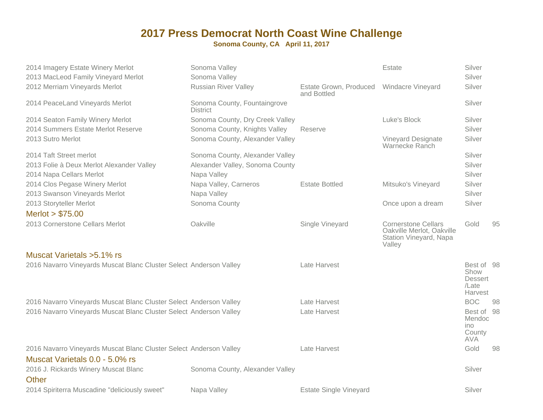| 2014 Imagery Estate Winery Merlot<br>2013 MacLeod Family Vineyard Merlot                             | Sonoma Valley<br>Sonoma Valley                  |                                       | Estate                                                                                      | Silver<br>Silver                                                |    |
|------------------------------------------------------------------------------------------------------|-------------------------------------------------|---------------------------------------|---------------------------------------------------------------------------------------------|-----------------------------------------------------------------|----|
| 2012 Merriam Vineyards Merlot                                                                        | <b>Russian River Valley</b>                     | Estate Grown, Produced<br>and Bottled | <b>Windacre Vineyard</b>                                                                    | Silver                                                          |    |
| 2014 PeaceLand Vineyards Merlot                                                                      | Sonoma County, Fountaingrove<br><b>District</b> |                                       |                                                                                             | Silver                                                          |    |
| 2014 Seaton Family Winery Merlot                                                                     | Sonoma County, Dry Creek Valley                 |                                       | Luke's Block                                                                                | Silver                                                          |    |
| 2014 Summers Estate Merlot Reserve                                                                   | Sonoma County, Knights Valley                   | Reserve                               |                                                                                             | Silver                                                          |    |
| 2013 Sutro Merlot                                                                                    | Sonoma County, Alexander Valley                 |                                       | Vineyard Designate<br>Warnecke Ranch                                                        | Silver                                                          |    |
| 2014 Taft Street merlot                                                                              | Sonoma County, Alexander Valley                 |                                       |                                                                                             | Silver                                                          |    |
| 2013 Folie à Deux Merlot Alexander Valley                                                            | Alexander Valley, Sonoma County                 |                                       |                                                                                             | Silver                                                          |    |
| 2014 Napa Cellars Merlot                                                                             | Napa Valley                                     |                                       |                                                                                             | Silver                                                          |    |
| 2014 Clos Pegase Winery Merlot                                                                       | Napa Valley, Carneros                           | <b>Estate Bottled</b>                 | Mitsuko's Vineyard                                                                          | Silver                                                          |    |
| 2013 Swanson Vineyards Merlot                                                                        | Napa Valley                                     |                                       |                                                                                             | Silver                                                          |    |
| 2013 Storyteller Merlot                                                                              | Sonoma County                                   |                                       | Once upon a dream                                                                           | Silver                                                          |    |
| Merlot > \$75.00                                                                                     |                                                 |                                       |                                                                                             |                                                                 |    |
| 2013 Cornerstone Cellars Merlot                                                                      | Oakville                                        | Single Vineyard                       | <b>Cornerstone Cellars</b><br>Oakville Merlot, Oakville<br>Station Vineyard, Napa<br>Valley | Gold                                                            | 95 |
| Muscat Varietals > 5.1% rs                                                                           |                                                 |                                       |                                                                                             |                                                                 |    |
| 2016 Navarro Vineyards Muscat Blanc Cluster Select Anderson Valley                                   |                                                 | Late Harvest                          |                                                                                             | Best of 98<br>Show<br><b>Dessert</b><br>/Late<br><b>Harvest</b> |    |
| 2016 Navarro Vineyards Muscat Blanc Cluster Select Anderson Valley                                   |                                                 | Late Harvest                          |                                                                                             | <b>BOC</b>                                                      | 98 |
| 2016 Navarro Vineyards Muscat Blanc Cluster Select Anderson Valley                                   |                                                 | Late Harvest                          |                                                                                             | Best of 98<br>Mendoc<br>ino<br>County<br><b>AVA</b>             |    |
| 2016 Navarro Vineyards Muscat Blanc Cluster Select Anderson Valley<br>Muscat Varietals 0.0 - 5.0% rs |                                                 | Late Harvest                          |                                                                                             | Gold                                                            | 98 |
| 2016 J. Rickards Winery Muscat Blanc<br>Other                                                        | Sonoma County, Alexander Valley                 |                                       |                                                                                             | Silver                                                          |    |
| 2014 Spiriterra Muscadine "deliciously sweet"                                                        | Napa Valley                                     | <b>Estate Single Vineyard</b>         |                                                                                             | Silver                                                          |    |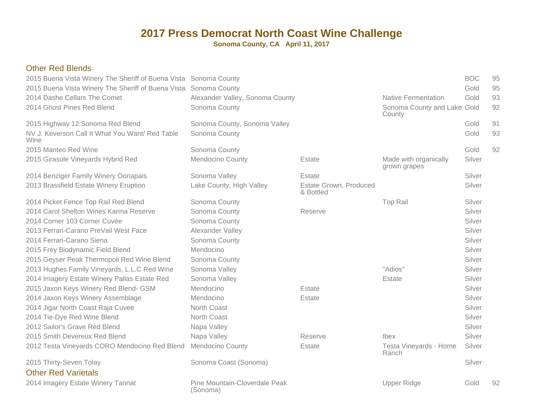| <b>Other Red Blends</b><br>2015 Buena Vista Winery The Sheriff of Buena Vista Sonoma County |                                           |                                     |                                       | <b>BOC</b> | 95 |
|---------------------------------------------------------------------------------------------|-------------------------------------------|-------------------------------------|---------------------------------------|------------|----|
| 2015 Buena Vista Winery The Sheriff of Buena Vista Sonoma County                            |                                           |                                     |                                       | Gold       | 95 |
| 2014 Dashe Cellars The Comet                                                                | Alexander Valley, Sonoma County           |                                     | <b>Native Fermentation</b>            | Gold       | 93 |
| 2014 Ghost Pines Red Blend                                                                  | Sonoma County                             |                                     | Sonoma County and Lake Gold<br>County |            | 92 |
| 2015 Highway 12 Sonoma Red Blend                                                            | Sonoma County, Sonoma Valley              |                                     |                                       | Gold       | 91 |
| NV J. Keverson Call It What You Want/ Red Table<br>Wine                                     | Sonoma County                             |                                     |                                       | Gold       | 93 |
| 2015 Manteo Red Wine                                                                        | Sonoma County                             |                                     |                                       | Gold       | 92 |
| 2015 Girasole Vineyards Hybrid Red                                                          | Mendocino County                          | Estate                              | Made with organically<br>grown grapes | Silver     |    |
| 2014 Benziger Family Winery Oonapais                                                        | Sonoma Valley                             | Estate                              |                                       | Silver     |    |
| 2013 Brassfield Estate Winery Eruption                                                      | Lake County, High Valley                  | Estate Grown, Produced<br>& Bottled |                                       | Silver     |    |
| 2014 Picket Fence Top Rail Red Blend                                                        | Sonoma County                             |                                     | <b>Top Rail</b>                       | Silver     |    |
| 2014 Carol Shelton Wines Karma Reserve                                                      | Sonoma County                             | Reserve                             |                                       | Silver     |    |
| 2014 Corner 103 Corner Cuvée                                                                | Sonoma County                             |                                     |                                       | Silver     |    |
| 2013 Ferrari-Carano PreVail West Face                                                       | Alexander Valley                          |                                     |                                       | Silver     |    |
| 2014 Ferrari-Carano Siena                                                                   | Sonoma County                             |                                     |                                       | Silver     |    |
| 2015 Frey Biodynamic Field Blend                                                            | Mendocino                                 |                                     |                                       | Silver     |    |
| 2015 Geyser Peak Thermopoli Red Wine Blend                                                  | Sonoma County                             |                                     |                                       | Silver     |    |
| 2013 Hughes Family Vineyards, L.L.C Red Wine                                                | Sonoma Valley                             |                                     | "Adios"                               | Silver     |    |
| 2014 Imagery Estate Winery Pallas Estate Red                                                | Sonoma Valley                             |                                     | Estate                                | Silver     |    |
| 2015 Jaxon Keys Winery Red Blend- GSM                                                       | Mendocino                                 | Estate                              |                                       | Silver     |    |
| 2014 Jaxon Keys Winery Assemblage                                                           | Mendocino                                 | Estate                              |                                       | Silver     |    |
| 2014 Jigar North Coast Raja Cuvee                                                           | North Coast                               |                                     |                                       | Silver     |    |
| 2014 Tie-Dye Red Wine Blend                                                                 | North Coast                               |                                     |                                       | Silver     |    |
| 2012 Sailor's Grave Red Blend                                                               | Napa Valley                               |                                     |                                       | Silver     |    |
| 2015 Smith Devereux Red Blend                                                               | Napa Valley                               | Reserve                             | Ibex                                  | Silver     |    |
| 2012 Testa Vineyards CORO Mendocino Red Blend                                               | <b>Mendocino County</b>                   | Estate                              | Testa Vineyards - Home<br>Ranch       | Silver     |    |
| 2015 Thirty-Seven Tolay                                                                     | Sonoma Coast (Sonoma)                     |                                     |                                       | Silver     |    |
| <b>Other Red Varietals</b>                                                                  |                                           |                                     |                                       |            |    |
| 2014 Imagery Estate Winery Tannat                                                           | Pine Mountain-Cloverdale Peak<br>(Sonoma) |                                     | <b>Upper Ridge</b>                    | Gold       | 92 |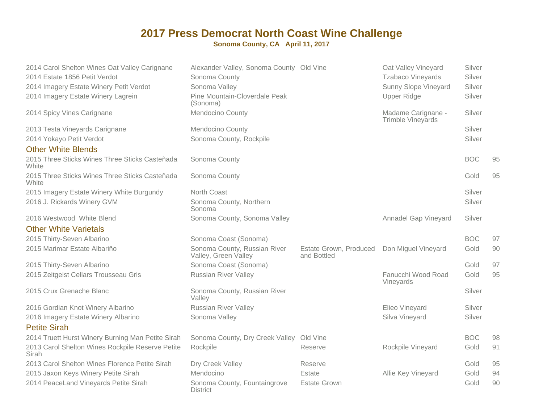| 2014 Carol Shelton Wines Oat Valley Carignane<br>2014 Estate 1856 Petit Verdot | Alexander Valley, Sonoma County Old Vine<br>Sonoma County |                                       | Oat Valley Vineyard<br><b>Tzabaco Vineyards</b> | Silver<br>Silver |    |
|--------------------------------------------------------------------------------|-----------------------------------------------------------|---------------------------------------|-------------------------------------------------|------------------|----|
| 2014 Imagery Estate Winery Petit Verdot                                        | Sonoma Valley                                             |                                       | Sunny Slope Vineyard                            | Silver           |    |
| 2014 Imagery Estate Winery Lagrein                                             | Pine Mountain-Cloverdale Peak<br>(Sonoma)                 |                                       | <b>Upper Ridge</b>                              | Silver           |    |
| 2014 Spicy Vines Carignane                                                     | Mendocino County                                          |                                       | Madame Carignane -<br>Trimble Vineyards         | Silver           |    |
| 2013 Testa Vineyards Carignane                                                 | <b>Mendocino County</b>                                   |                                       |                                                 | Silver           |    |
| 2014 Yokayo Petit Verdot                                                       | Sonoma County, Rockpile                                   |                                       |                                                 | Silver           |    |
| <b>Other White Blends</b>                                                      |                                                           |                                       |                                                 |                  |    |
| 2015 Three Sticks Wines Three Sticks Casteñada<br>White                        | Sonoma County                                             |                                       |                                                 | <b>BOC</b>       | 95 |
| 2015 Three Sticks Wines Three Sticks Casteñada<br>White                        | Sonoma County                                             |                                       |                                                 | Gold             | 95 |
| 2015 Imagery Estate Winery White Burgundy                                      | North Coast                                               |                                       |                                                 | Silver           |    |
| 2016 J. Rickards Winery GVM                                                    | Sonoma County, Northern<br>Sonoma                         |                                       |                                                 | Silver           |    |
| 2016 Westwood White Blend                                                      | Sonoma County, Sonoma Valley                              |                                       | <b>Annadel Gap Vineyard</b>                     | Silver           |    |
| <b>Other White Varietals</b>                                                   |                                                           |                                       |                                                 |                  |    |
| 2015 Thirty-Seven Albarino                                                     | Sonoma Coast (Sonoma)                                     |                                       |                                                 | <b>BOC</b>       | 97 |
| 2015 Marimar Estate Albariño                                                   | Sonoma County, Russian River<br>Valley, Green Valley      | Estate Grown, Produced<br>and Bottled | Don Miguel Vineyard                             | Gold             | 90 |
| 2015 Thirty-Seven Albarino                                                     | Sonoma Coast (Sonoma)                                     |                                       |                                                 | Gold             | 97 |
| 2015 Zeitgeist Cellars Trousseau Gris                                          | <b>Russian River Valley</b>                               |                                       | Fanucchi Wood Road<br>Vineyards                 | Gold             | 95 |
| 2015 Crux Grenache Blanc                                                       | Sonoma County, Russian River<br>Valley                    |                                       |                                                 | Silver           |    |
| 2016 Gordian Knot Winery Albarino                                              | <b>Russian River Valley</b>                               |                                       | Elieo Vineyard                                  | Silver           |    |
| 2016 Imagery Estate Winery Albarino                                            | Sonoma Valley                                             |                                       | Silva Vineyard                                  | Silver           |    |
| <b>Petite Sirah</b>                                                            |                                                           |                                       |                                                 |                  |    |
| 2014 Truett Hurst Winery Burning Man Petite Sirah                              | Sonoma County, Dry Creek Valley Old Vine                  |                                       |                                                 | <b>BOC</b>       | 98 |
| 2013 Carol Shelton Wines Rockpile Reserve Petite<br><b>Sirah</b>               | Rockpile                                                  | Reserve                               | Rockpile Vineyard                               | Gold             | 91 |
| 2013 Carol Shelton Wines Florence Petite Sirah                                 | Dry Creek Valley                                          | Reserve                               |                                                 | Gold             | 95 |
| 2015 Jaxon Keys Winery Petite Sirah                                            | Mendocino                                                 | Estate                                | Allie Key Vineyard                              | Gold             | 94 |
| 2014 PeaceLand Vineyards Petite Sirah                                          | Sonoma County, Fountaingrove<br><b>District</b>           | <b>Estate Grown</b>                   |                                                 | Gold             | 90 |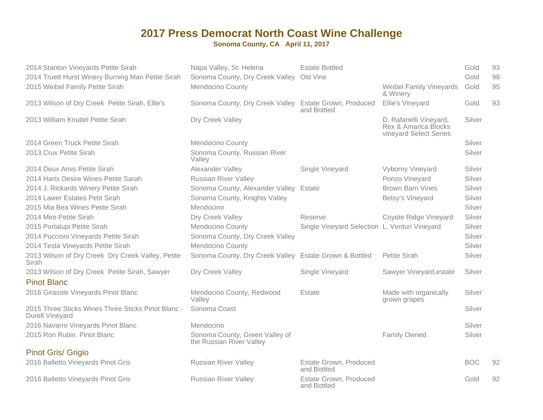| 2014 Stanton Vineyards Petite Sirah<br>2014 Truett Hurst Winery Burning Man Petite Sirah | Napa Valley, St. Helena<br>Sonoma County, Dry Creek Valley Old Vine | <b>Estate Bottled</b>                         |                                                                          | Gold<br>Gold | 93<br>98 |
|------------------------------------------------------------------------------------------|---------------------------------------------------------------------|-----------------------------------------------|--------------------------------------------------------------------------|--------------|----------|
| 2015 Weibel Family Petite Sirah                                                          | Mendocino County                                                    |                                               | <b>Weibel Family Vineyards</b><br>& Winery                               | Gold         | 95       |
| 2013 Wilson of Dry Creek Petite Sirah, Ellie's                                           | Sonoma County, Dry Creek Valley Estate Grown, Produced              | and Bottled                                   | Ellie's Vineyard                                                         | Gold         | 93       |
| 2013 William Knuttel Petite Sirah                                                        | Dry Creek Valley                                                    |                                               | D. Rafanelli Vineyard,<br>Rex & Amarica Blocks<br>vineyard Select Series | Silver       |          |
| 2014 Green Truck Petite Sirah                                                            | Mendocino County                                                    |                                               |                                                                          | Silver       |          |
| 2013 Crux Petite Sirah                                                                   | Sonoma County, Russian River<br>Valley                              |                                               |                                                                          | Silver       |          |
| 2014 Deux Amis Petite Sirah                                                              | Alexander Valley                                                    | Single Vineyard                               | Vyborny Vineyard                                                         | Silver       |          |
| 2014 Harts Desire Wines Petite Sarah                                                     | <b>Russian River Valley</b>                                         |                                               | Ponzo Vineyard                                                           | Silver       |          |
| 2014 J. Rickards Winery Petite Sirah                                                     | Sonoma County, Alexander Valley Estate                              |                                               | <b>Brown Barn Vines</b>                                                  | Silver       |          |
| 2014 Lawer Estates Petit Sirah                                                           | Sonoma County, Knights Valley                                       |                                               | Betsy's Vineyard                                                         | Silver       |          |
| 2015 Mia Bea Wines Petite Sirah                                                          | Mendocino                                                           |                                               |                                                                          | Silver       |          |
| 2014 Miro Petite Sirah                                                                   | Dry Creek Valley                                                    | Reserve                                       | Coyote Ridge Vineyard                                                    | Silver       |          |
| 2015 Portalupi Petite Sirah                                                              | Mendocino County                                                    | Single Vineyard Selection L. Venturi Vineyard |                                                                          | Silver       |          |
| 2014 Puccioni Vineyards Petite Sirah                                                     | Sonoma County, Dry Creek Valley                                     |                                               |                                                                          | Silver       |          |
| 2014 Testa Vineyards Petite Sirah                                                        | <b>Mendocino County</b>                                             |                                               |                                                                          | Silver       |          |
| 2013 Wilson of Dry Creek Dry Creek Valley, Petite<br>Sirah                               | Sonoma County, Dry Creek Valley Estate Grown & Bottled              |                                               | Petite Sirah                                                             | Silver       |          |
| 2013 Wilson of Dry Creek Petite Sirah, Sawyer                                            | Dry Creek Valley                                                    | Single Vineyard                               | Sawyer Vineyard, estate                                                  | Silver       |          |
| <b>Pinot Blanc</b>                                                                       |                                                                     |                                               |                                                                          |              |          |
| 2016 Girasole Vineyards Pinot Blanc                                                      | Mendocino County, Redwood<br>Valley                                 | Estate                                        | Made with organically<br>grown grapes                                    | Silver       |          |
| 2015 Three Sticks Wines Three Sticks Pinot Blanc -<br><b>Durell Vineyard</b>             | Sonoma Coast                                                        |                                               |                                                                          | Silver       |          |
| 2016 Navarro Vineyards Pinot Blanc                                                       | Mendocino                                                           |                                               |                                                                          | Silver       |          |
| 2015 Ron Rubin Pinot Blanc                                                               | Sonoma County, Green Valley of<br>the Russian River Valley          |                                               | Family Owned                                                             | Silver       |          |
| <b>Pinot Gris/ Grigio</b>                                                                |                                                                     |                                               |                                                                          |              |          |
| 2016 Balletto Vineyards Pinot Gris                                                       | <b>Russian River Valley</b>                                         | Estate Grown, Produced<br>and Bottled         |                                                                          | <b>BOC</b>   | 92       |
| 2016 Balletto Vineyards Pinot Gris                                                       | <b>Russian River Valley</b>                                         | Estate Grown, Produced<br>and Bottled         |                                                                          | Gold         | 92       |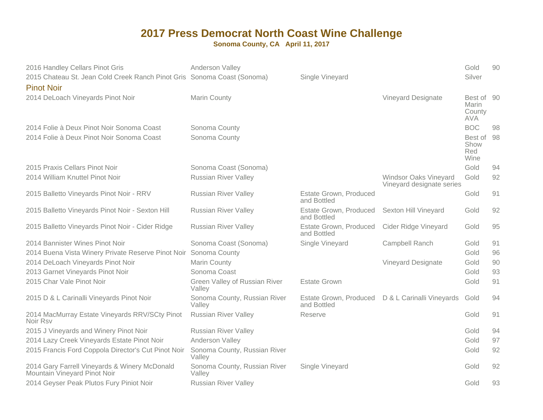| 2016 Handley Cellars Pinot Gris<br>2015 Chateau St. Jean Cold Creek Ranch Pinot Gris Sonoma Coast (Sonoma)<br><b>Pinot Noir</b> | Anderson Valley                         | Single Vineyard                       |                                                           | Gold<br>Silver                              | 90 |
|---------------------------------------------------------------------------------------------------------------------------------|-----------------------------------------|---------------------------------------|-----------------------------------------------------------|---------------------------------------------|----|
| 2014 DeLoach Vineyards Pinot Noir                                                                                               | <b>Marin County</b>                     |                                       | <b>Vineyard Designate</b>                                 | Best of 90<br>Marin<br>County<br><b>AVA</b> |    |
| 2014 Folie à Deux Pinot Noir Sonoma Coast                                                                                       | Sonoma County                           |                                       |                                                           | <b>BOC</b>                                  | 98 |
| 2014 Folie à Deux Pinot Noir Sonoma Coast                                                                                       | Sonoma County                           |                                       |                                                           | Best of<br>Show<br>Red<br>Wine              | 98 |
| 2015 Praxis Cellars Pinot Noir                                                                                                  | Sonoma Coast (Sonoma)                   |                                       |                                                           | Gold                                        | 94 |
| 2014 William Knuttel Pinot Noir                                                                                                 | <b>Russian River Valley</b>             |                                       | <b>Windsor Oaks Vineyard</b><br>Vineyard designate series | Gold                                        | 92 |
| 2015 Balletto Vineyards Pinot Noir - RRV                                                                                        | <b>Russian River Valley</b>             | Estate Grown, Produced<br>and Bottled |                                                           | Gold                                        | 91 |
| 2015 Balletto Vineyards Pinot Noir - Sexton Hill                                                                                | <b>Russian River Valley</b>             | Estate Grown, Produced<br>and Bottled | Sexton Hill Vineyard                                      | Gold                                        | 92 |
| 2015 Balletto Vineyards Pinot Noir - Cider Ridge                                                                                | <b>Russian River Valley</b>             | Estate Grown, Produced<br>and Bottled | <b>Cider Ridge Vineyard</b>                               | Gold                                        | 95 |
| 2014 Bannister Wines Pinot Noir                                                                                                 | Sonoma Coast (Sonoma)                   | Single Vineyard                       | Campbell Ranch                                            | Gold                                        | 91 |
| 2014 Buena Vista Winery Private Reserve Pinot Noir Sonoma County                                                                |                                         |                                       |                                                           | Gold                                        | 96 |
| 2014 DeLoach Vineyards Pinot Noir                                                                                               | Marin County                            |                                       | <b>Vineyard Designate</b>                                 | Gold                                        | 90 |
| 2013 Garnet Vineyards Pinot Noir                                                                                                | Sonoma Coast                            |                                       |                                                           | Gold                                        | 93 |
| 2015 Char Vale Pinot Noir                                                                                                       | Green Valley of Russian River<br>Valley | <b>Estate Grown</b>                   |                                                           | Gold                                        | 91 |
| 2015 D & L Carinalli Vineyards Pinot Noir                                                                                       | Sonoma County, Russian River<br>Valley  | Estate Grown, Produced<br>and Bottled | D & L Carinalli Vineyards                                 | Gold                                        | 94 |
| 2014 MacMurray Estate Vineyards RRV/SCty Pinot<br>Noir Rsv                                                                      | <b>Russian River Valley</b>             | Reserve                               |                                                           | Gold                                        | 91 |
| 2015 J Vineyards and Winery Pinot Noir                                                                                          | <b>Russian River Valley</b>             |                                       |                                                           | Gold                                        | 94 |
| 2014 Lazy Creek Vineyards Estate Pinot Noir                                                                                     | Anderson Valley                         |                                       |                                                           | Gold                                        | 97 |
| 2015 Francis Ford Coppola Director's Cut Pinot Noir                                                                             | Sonoma County, Russian River<br>Valley  |                                       |                                                           | Gold                                        | 92 |
| 2014 Gary Farrell Vineyards & Winery McDonald<br>Mountain Vineyard Pinot Noir                                                   | Sonoma County, Russian River<br>Valley  | Single Vineyard                       |                                                           | Gold                                        | 92 |
| 2014 Geyser Peak Plutos Fury Piniot Noir                                                                                        | <b>Russian River Valley</b>             |                                       |                                                           | Gold                                        | 93 |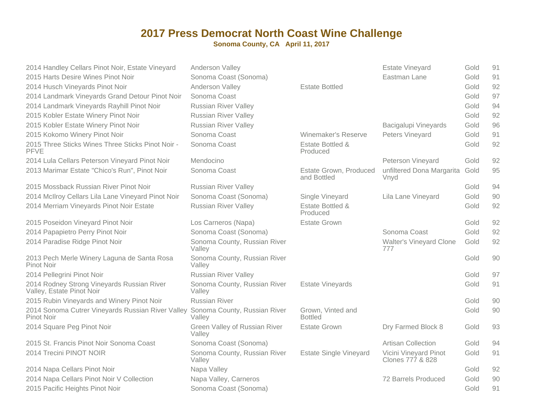| 2014 Handley Cellars Pinot Noir, Estate Vineyard                        | Anderson Valley                         |                                              | <b>Estate Vineyard</b>                    | Gold | 91 |
|-------------------------------------------------------------------------|-----------------------------------------|----------------------------------------------|-------------------------------------------|------|----|
| 2015 Harts Desire Wines Pinot Noir                                      | Sonoma Coast (Sonoma)                   |                                              | Eastman Lane                              | Gold | 91 |
| 2014 Husch Vineyards Pinot Noir                                         | Anderson Valley                         | <b>Estate Bottled</b>                        |                                           | Gold | 92 |
| 2014 Landmark Vineyards Grand Detour Pinot Noir                         | Sonoma Coast                            |                                              |                                           | Gold | 97 |
| 2014 Landmark Vineyards Rayhill Pinot Noir                              | <b>Russian River Valley</b>             |                                              |                                           | Gold | 94 |
| 2015 Kobler Estate Winery Pinot Noir                                    | <b>Russian River Valley</b>             |                                              |                                           | Gold | 92 |
| 2015 Kobler Estate Winery Pinot Noir                                    | <b>Russian River Valley</b>             |                                              | <b>Bacigalupi Vineyards</b>               | Gold | 96 |
| 2015 Kokomo Winery Pinot Noir                                           | Sonoma Coast                            | Winemaker's Reserve                          | Peters Vineyard                           | Gold | 91 |
| 2015 Three Sticks Wines Three Sticks Pinot Noir -<br><b>PFVE</b>        | Sonoma Coast                            | Estate Bottled &<br>Produced                 |                                           | Gold | 92 |
| 2014 Lula Cellars Peterson Vineyard Pinot Noir                          | Mendocino                               |                                              | Peterson Vineyard                         | Gold | 92 |
| 2013 Marimar Estate "Chico's Run", Pinot Noir                           | Sonoma Coast                            | <b>Estate Grown, Produced</b><br>and Bottled | unfiltered Dona Margarita<br>Vnyd         | Gold | 95 |
| 2015 Mossback Russian River Pinot Noir                                  | <b>Russian River Valley</b>             |                                              |                                           | Gold | 94 |
| 2014 McIlroy Cellars Lila Lane Vineyard Pinot Noir                      | Sonoma Coast (Sonoma)                   | Single Vineyard                              | Lila Lane Vineyard                        | Gold | 90 |
| 2014 Merriam Vineyards Pinot Noir Estate                                | <b>Russian River Valley</b>             | Estate Bottled &<br>Produced                 |                                           | Gold | 92 |
| 2015 Poseidon Vineyard Pinot Noir                                       | Los Carneros (Napa)                     | <b>Estate Grown</b>                          |                                           | Gold | 92 |
| 2014 Papapietro Perry Pinot Noir                                        | Sonoma Coast (Sonoma)                   |                                              | Sonoma Coast                              | Gold | 92 |
| 2014 Paradise Ridge Pinot Noir                                          | Sonoma County, Russian River<br>Valley  |                                              | <b>Walter's Vineyard Clone</b><br>777     | Gold | 92 |
| 2013 Pech Merle Winery Laguna de Santa Rosa<br>Pinot Noir               | Sonoma County, Russian River<br>Valley  |                                              |                                           | Gold | 90 |
| 2014 Pellegrini Pinot Noir                                              | <b>Russian River Valley</b>             |                                              |                                           | Gold | 97 |
| 2014 Rodney Strong Vineyards Russian River<br>Valley, Estate Pinot Noir | Sonoma County, Russian River<br>Valley  | Estate Vineyards                             |                                           | Gold | 91 |
| 2015 Rubin Vineyards and Winery Pinot Noir                              | <b>Russian River</b>                    |                                              |                                           | Gold | 90 |
| 2014 Sonoma Cutrer Vineyards Russian River Valley<br>Pinot Noir         | Sonoma County, Russian River<br>Valley  | Grown, Vinted and<br><b>Bottled</b>          |                                           | Gold | 90 |
| 2014 Square Peg Pinot Noir                                              | Green Valley of Russian River<br>Valley | <b>Estate Grown</b>                          | Dry Farmed Block 8                        | Gold | 93 |
| 2015 St. Francis Pinot Noir Sonoma Coast                                | Sonoma Coast (Sonoma)                   |                                              | <b>Artisan Collection</b>                 | Gold | 94 |
| 2014 Trecini PINOT NOIR                                                 | Sonoma County, Russian River<br>Valley  | <b>Estate Single Vineyard</b>                | Vicini Vineyard Pinot<br>Clones 777 & 828 | Gold | 91 |
| 2014 Napa Cellars Pinot Noir                                            | Napa Valley                             |                                              |                                           | Gold | 92 |
| 2014 Napa Cellars Pinot Noir V Collection                               | Napa Valley, Carneros                   |                                              | 72 Barrels Produced                       | Gold | 90 |
| 2015 Pacific Heights Pinot Noir                                         | Sonoma Coast (Sonoma)                   |                                              |                                           | Gold | 91 |
|                                                                         |                                         |                                              |                                           |      |    |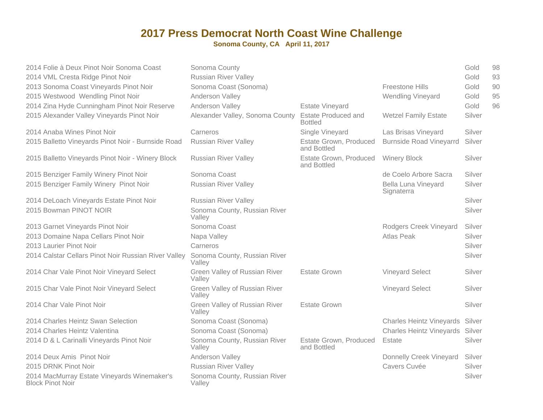| 2014 Folie à Deux Pinot Noir Sonoma Coast                              | Sonoma County                           |                                              |                                          | Gold   | 98 |
|------------------------------------------------------------------------|-----------------------------------------|----------------------------------------------|------------------------------------------|--------|----|
| 2014 VML Cresta Ridge Pinot Noir                                       | <b>Russian River Valley</b>             |                                              |                                          | Gold   | 93 |
| 2013 Sonoma Coast Vineyards Pinot Noir                                 | Sonoma Coast (Sonoma)                   |                                              | <b>Freestone Hills</b>                   | Gold   | 90 |
| 2015 Westwood Wendling Pinot Noir                                      | Anderson Valley                         |                                              | <b>Wendling Vineyard</b>                 | Gold   | 95 |
| 2014 Zina Hyde Cunningham Pinot Noir Reserve                           | Anderson Valley                         | <b>Estate Vineyard</b>                       |                                          | Gold   | 96 |
| 2015 Alexander Valley Vineyards Pinot Noir                             | Alexander Valley, Sonoma County         | <b>Estate Produced and</b><br><b>Bottled</b> | <b>Wetzel Family Estate</b>              | Silver |    |
| 2014 Anaba Wines Pinot Noir                                            | Carneros                                | Single Vineyard                              | Las Brisas Vineyard                      | Silver |    |
| 2015 Balletto Vineyards Pinot Noir - Burnside Road                     | <b>Russian River Valley</b>             | Estate Grown, Produced<br>and Bottled        | <b>Burnside Road Vineyarrd</b>           | Silver |    |
| 2015 Balletto Vineyards Pinot Noir - Winery Block                      | <b>Russian River Valley</b>             | Estate Grown, Produced<br>and Bottled        | <b>Winery Block</b>                      | Silver |    |
| 2015 Benziger Family Winery Pinot Noir                                 | Sonoma Coast                            |                                              | de Coelo Arbore Sacra                    | Silver |    |
| 2015 Benziger Family Winery Pinot Noir                                 | <b>Russian River Valley</b>             |                                              | <b>Bella Luna Vineyard</b><br>Signaterra | Silver |    |
| 2014 DeLoach Vineyards Estate Pinot Noir                               | <b>Russian River Valley</b>             |                                              |                                          | Silver |    |
| 2015 Bowman PINOT NOIR                                                 | Sonoma County, Russian River<br>Valley  |                                              |                                          | Silver |    |
| 2013 Garnet Vineyards Pinot Noir                                       | Sonoma Coast                            |                                              | Rodgers Creek Vineyard                   | Silver |    |
| 2013 Domaine Napa Cellars Pinot Noir                                   | Napa Valley                             |                                              | <b>Atlas Peak</b>                        | Silver |    |
| 2013 Laurier Pinot Noir                                                | Carneros                                |                                              |                                          | Silver |    |
| 2014 Calstar Cellars Pinot Noir Russian River Valley                   | Sonoma County, Russian River<br>Valley  |                                              |                                          | Silver |    |
| 2014 Char Vale Pinot Noir Vineyard Select                              | Green Valley of Russian River<br>Valley | <b>Estate Grown</b>                          | <b>Vineyard Select</b>                   | Silver |    |
| 2015 Char Vale Pinot Noir Vineyard Select                              | Green Valley of Russian River<br>Valley |                                              | <b>Vineyard Select</b>                   | Silver |    |
| 2014 Char Vale Pinot Noir                                              | Green Valley of Russian River<br>Valley | <b>Estate Grown</b>                          |                                          | Silver |    |
| 2014 Charles Heintz Swan Selection                                     | Sonoma Coast (Sonoma)                   |                                              | Charles Heintz Vineyards Silver          |        |    |
| 2014 Charles Heintz Valentina                                          | Sonoma Coast (Sonoma)                   |                                              | Charles Heintz Vineyards Silver          |        |    |
| 2014 D & L Carinalli Vineyards Pinot Noir                              | Sonoma County, Russian River<br>Valley  | Estate Grown, Produced<br>and Bottled        | Estate                                   | Silver |    |
| 2014 Deux Amis Pinot Noir                                              | Anderson Valley                         |                                              | Donnelly Creek Vineyard                  | Silver |    |
| 2015 DRNK Pinot Noir                                                   | <b>Russian River Valley</b>             |                                              | Cavers Cuvée                             | Silver |    |
| 2014 MacMurray Estate Vineyards Winemaker's<br><b>Block Pinot Noir</b> | Sonoma County, Russian River<br>Valley  |                                              |                                          | Silver |    |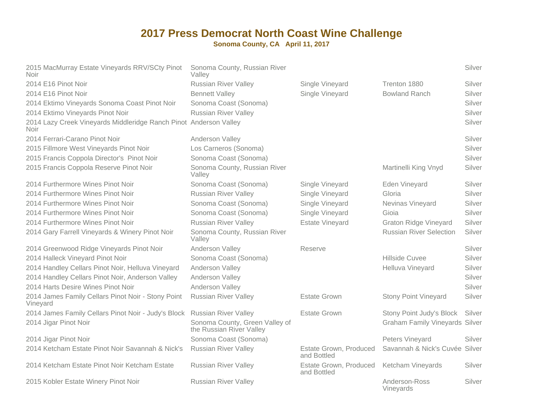| 2015 MacMurray Estate Vineyards RRV/SCty Pinot<br><b>Noir</b>                    | Sonoma County, Russian River<br>Valley                     |                                       |                                       | Silver |
|----------------------------------------------------------------------------------|------------------------------------------------------------|---------------------------------------|---------------------------------------|--------|
| 2014 E16 Pinot Noir                                                              | <b>Russian River Valley</b>                                | Single Vineyard                       | Trenton 1880                          | Silver |
| 2014 E16 Pinot Noir                                                              | <b>Bennett Valley</b>                                      | Single Vineyard                       | <b>Bowland Ranch</b>                  | Silver |
| 2014 Ektimo Vineyards Sonoma Coast Pinot Noir                                    | Sonoma Coast (Sonoma)                                      |                                       |                                       | Silver |
| 2014 Ektimo Vineyards Pinot Noir                                                 | <b>Russian River Valley</b>                                |                                       |                                       | Silver |
| 2014 Lazy Creek Vineyards Middleridge Ranch Pinot Anderson Valley<br><b>Noir</b> |                                                            |                                       |                                       | Silver |
| 2014 Ferrari-Carano Pinot Noir                                                   | Anderson Valley                                            |                                       |                                       | Silver |
| 2015 Fillmore West Vineyards Pinot Noir                                          | Los Carneros (Sonoma)                                      |                                       |                                       | Silver |
| 2015 Francis Coppola Director's Pinot Noir                                       | Sonoma Coast (Sonoma)                                      |                                       |                                       | Silver |
| 2015 Francis Coppola Reserve Pinot Noir                                          | Sonoma County, Russian River<br>Valley                     |                                       | Martinelli King Vnyd                  | Silver |
| 2014 Furthermore Wines Pinot Noir                                                | Sonoma Coast (Sonoma)                                      | Single Vineyard                       | Eden Vineyard                         | Silver |
| 2014 Furthermore Wines Pinot Noir                                                | <b>Russian River Valley</b>                                | Single Vineyard                       | Gloria                                | Silver |
| 2014 Furthermore Wines Pinot Noir                                                | Sonoma Coast (Sonoma)                                      | Single Vineyard                       | Nevinas Vineyard                      | Silver |
| 2014 Furthermore Wines Pinot Noir                                                | Sonoma Coast (Sonoma)                                      | Single Vineyard                       | Gioia                                 | Silver |
| 2014 Furthermore Wines Pinot Noir                                                | <b>Russian River Valley</b>                                | <b>Estate Vineyard</b>                | <b>Graton Ridge Vineyard</b>          | Silver |
| 2014 Gary Farrell Vineyards & Winery Pinot Noir                                  | Sonoma County, Russian River<br>Valley                     |                                       | <b>Russian River Selection</b>        | Silver |
| 2014 Greenwood Ridge Vineyards Pinot Noir                                        | Anderson Valley                                            | Reserve                               |                                       | Silver |
| 2014 Halleck Vineyard Pinot Noir                                                 | Sonoma Coast (Sonoma)                                      |                                       | <b>Hillside Cuvee</b>                 | Silver |
| 2014 Handley Cellars Pinot Noir, Helluva Vineyard                                | Anderson Valley                                            |                                       | Helluva Vineyard                      | Silver |
| 2014 Handley Cellars Pinot Noir, Anderson Valley                                 | Anderson Valley                                            |                                       |                                       | Silver |
| 2014 Harts Desire Wines Pinot Noir                                               | Anderson Valley                                            |                                       |                                       | Silver |
| 2014 James Family Cellars Pinot Noir - Stony Point<br>Vineyard                   | <b>Russian River Valley</b>                                | <b>Estate Grown</b>                   | <b>Stony Point Vineyard</b>           | Silver |
| 2014 James Family Cellars Pinot Noir - Judy's Block                              | <b>Russian River Valley</b>                                | <b>Estate Grown</b>                   | Stony Point Judy's Block              | Silver |
| 2014 Jigar Pinot Noir                                                            | Sonoma County, Green Valley of<br>the Russian River Valley |                                       | <b>Graham Family Vineyards Silver</b> |        |
| 2014 Jigar Pinot Noir                                                            | Sonoma Coast (Sonoma)                                      |                                       | Peters Vineyard                       | Silver |
| 2014 Ketcham Estate Pinot Noir Savannah & Nick's Russian River Valley            |                                                            | Estate Grown, Produced<br>and Bottled | Savannah & Nick's Cuvée Silver        |        |
| 2014 Ketcham Estate Pinot Noir Ketcham Estate                                    | <b>Russian River Valley</b>                                | Estate Grown, Produced<br>and Bottled | Ketcham Vineyards                     | Silver |
| 2015 Kobler Estate Winery Pinot Noir                                             | <b>Russian River Valley</b>                                |                                       | Anderson-Ross<br>Vinevards            | Silver |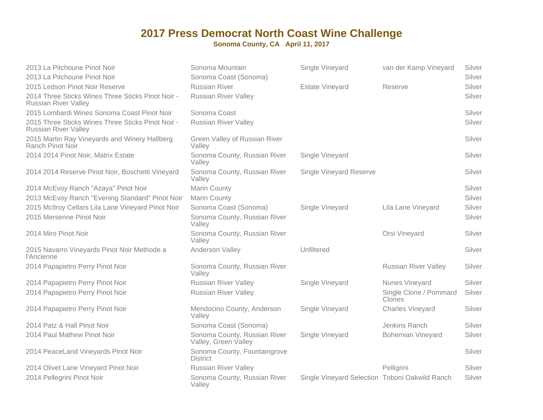| 2013 La Pitchoune Pinot Noir                                                     | Sonoma Mountain                                      | Single Vineyard                                | van der Kamp Vineyard            | Silver |
|----------------------------------------------------------------------------------|------------------------------------------------------|------------------------------------------------|----------------------------------|--------|
| 2013 La Pitchoune Pinot Noir                                                     | Sonoma Coast (Sonoma)                                |                                                |                                  | Silver |
| 2015 Ledson Pinot Noir Reserve                                                   | <b>Russian River</b>                                 | <b>Estate Vineyard</b>                         | Reserve                          | Silver |
| 2014 Three Sticks Wines Three Sticks Pinot Noir -<br><b>Russian River Valley</b> | <b>Russian River Valley</b>                          |                                                |                                  | Silver |
| 2015 Lombardi Wines Sonoma Coast Pinot Noir                                      | Sonoma Coast                                         |                                                |                                  | Silver |
| 2015 Three Sticks Wines Three Sticks Pinot Noir -<br><b>Russian River Valley</b> | <b>Russian River Valley</b>                          |                                                |                                  | Silver |
| 2015 Martin Ray Vineyards and Winery Hallberg<br>Ranch Pinot Noir                | Green Valley of Russian River<br>Valley              |                                                |                                  | Silver |
| 2014 2014 Pinot Noir, Matrix Estate                                              | Sonoma County, Russian River<br>Valley               | Single Vineyard                                |                                  | Silver |
| 2014 2014 Reserve Pinot Noir, Boschetti Vineyard                                 | Sonoma County, Russian River<br>Valley               | <b>Single Vineyard Reserve</b>                 |                                  | Silver |
| 2014 McEvoy Ranch "Azaya" Pinot Noir                                             | Marin County                                         |                                                |                                  | Silver |
| 2013 McEvoy Ranch "Evening Standard" Pinot Noir                                  | Marin County                                         |                                                |                                  | Silver |
| 2015 McIlroy Cellars Lila Lane Vineyard Pinot Noir                               | Sonoma Coast (Sonoma)                                | Single Vineyard                                | Lila Lane Vineyard               | Silver |
| 2015 Mersenne Pinot Noir                                                         | Sonoma County, Russian River<br>Valley               |                                                |                                  | Silver |
| 2014 Miro Pinot Noir                                                             | Sonoma County, Russian River<br>Valley               |                                                | Orsi Vineyard                    | Silver |
| 2015 Navarro Vineyards Pinot Noir Methode a<br>l'Ancienne                        | Anderson Valley                                      | Unfiltered                                     |                                  | Silver |
| 2014 Papapietro Perry Pinot Noir                                                 | Sonoma County, Russian River<br>Valley               |                                                | <b>Russian River Valley</b>      | Silver |
| 2014 Papapietro Perry Pinot Noir                                                 | <b>Russian River Valley</b>                          | Single Vineyard                                | Nunes Vineyard                   | Silver |
| 2014 Papapietro Perry Pinot Noir                                                 | <b>Russian River Valley</b>                          |                                                | Single Clone / Pommard<br>Clones | Silver |
| 2014 Papapietro Perry Pinot Noir                                                 | Mendocino County, Anderson<br>Valley                 | Single Vineyard                                | Charles Vineyard                 | Silver |
| 2014 Patz & Hall Pinot Noir                                                      | Sonoma Coast (Sonoma)                                |                                                | Jenkins Ranch                    | Silver |
| 2014 Paul Mathew Pinot Noir                                                      | Sonoma County, Russian River<br>Valley, Green Valley | Single Vineyard                                | <b>Bohemian Vineyard</b>         | Silver |
| 2014 PeaceLand Vineyards Pinot Noir                                              | Sonoma County, Fountaingrove<br><b>District</b>      |                                                |                                  | Silver |
| 2014 Olivet Lane Vineyard Pinot Noir                                             | <b>Russian River Valley</b>                          |                                                | Pelligrini                       | Silver |
| 2014 Pellegrini Pinot Noir                                                       | Sonoma County, Russian River<br>Valley               | Single Vineyard Selection Toboni Oakwild Ranch |                                  | Silver |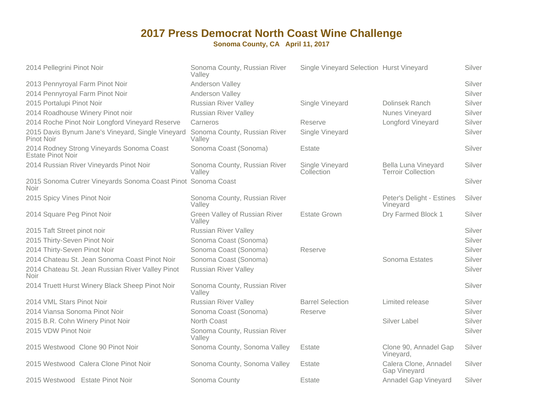| 2014 Pellegrini Pinot Noir                                           | Sonoma County, Russian River<br>Valley  | Single Vineyard Selection Hurst Vineyard |                                                  | Silver |
|----------------------------------------------------------------------|-----------------------------------------|------------------------------------------|--------------------------------------------------|--------|
| 2013 Pennyroyal Farm Pinot Noir                                      | Anderson Valley                         |                                          |                                                  | Silver |
| 2014 Pennyroyal Farm Pinot Noir                                      | Anderson Valley                         |                                          |                                                  | Silver |
| 2015 Portalupi Pinot Noir                                            | <b>Russian River Valley</b>             | Single Vineyard                          | <b>Dolinsek Ranch</b>                            | Silver |
| 2014 Roadhouse Winery Pinot noir                                     | <b>Russian River Valley</b>             |                                          | Nunes Vineyard                                   | Silver |
| 2014 Roche Pinot Noir Longford Vineyard Reserve                      | Carneros                                | Reserve                                  | Longford Vineyard                                | Silver |
| 2015 Davis Bynum Jane's Vineyard, Single Vineyard<br>Pinot Noir      | Sonoma County, Russian River<br>Valley  | Single Vineyard                          |                                                  | Silver |
| 2014 Rodney Strong Vineyards Sonoma Coast<br>Estate Pinot Noir       | Sonoma Coast (Sonoma)                   | Estate                                   |                                                  | Silver |
| 2014 Russian River Vineyards Pinot Noir                              | Sonoma County, Russian River<br>Valley  | Single Vineyard<br>Collection            | Bella Luna Vineyard<br><b>Terroir Collection</b> | Silver |
| 2015 Sonoma Cutrer Vineyards Sonoma Coast Pinot Sonoma Coast<br>Noir |                                         |                                          |                                                  | Silver |
| 2015 Spicy Vines Pinot Noir                                          | Sonoma County, Russian River<br>Valley  |                                          | Peter's Delight - Estines<br>Vineyard            | Silver |
| 2014 Square Peg Pinot Noir                                           | Green Valley of Russian River<br>Valley | <b>Estate Grown</b>                      | Dry Farmed Block 1                               | Silver |
| 2015 Taft Street pinot noir                                          | <b>Russian River Valley</b>             |                                          |                                                  | Silver |
| 2015 Thirty-Seven Pinot Noir                                         | Sonoma Coast (Sonoma)                   |                                          |                                                  | Silver |
| 2014 Thirty-Seven Pinot Noir                                         | Sonoma Coast (Sonoma)                   | Reserve                                  |                                                  | Silver |
| 2014 Chateau St. Jean Sonoma Coast Pinot Noir                        | Sonoma Coast (Sonoma)                   |                                          | Sonoma Estates                                   | Silver |
| 2014 Chateau St. Jean Russian River Valley Pinot<br>Noir             | <b>Russian River Valley</b>             |                                          |                                                  | Silver |
| 2014 Truett Hurst Winery Black Sheep Pinot Noir                      | Sonoma County, Russian River<br>Valley  |                                          |                                                  | Silver |
| 2014 VML Stars Pinot Noir                                            | <b>Russian River Valley</b>             | <b>Barrel Selection</b>                  | Limited release                                  | Silver |
| 2014 Viansa Sonoma Pinot Noir                                        | Sonoma Coast (Sonoma)                   | Reserve                                  |                                                  | Silver |
| 2015 B.R. Cohn Winery Pinot Noir                                     | North Coast                             |                                          | <b>Silver Label</b>                              | Silver |
| 2015 VDW Pinot Noir                                                  | Sonoma County, Russian River<br>Valley  |                                          |                                                  | Silver |
| 2015 Westwood Clone 90 Pinot Noir                                    | Sonoma County, Sonoma Valley            | Estate                                   | Clone 90, Annadel Gap<br>Vineyard,               | Silver |
| 2015 Westwood Calera Clone Pinot Noir                                | Sonoma County, Sonoma Valley            | Estate                                   | Calera Clone, Annadel<br>Gap Vineyard            | Silver |
| 2015 Westwood Estate Pinot Noir                                      | Sonoma County                           | Estate                                   | Annadel Gap Vineyard                             | Silver |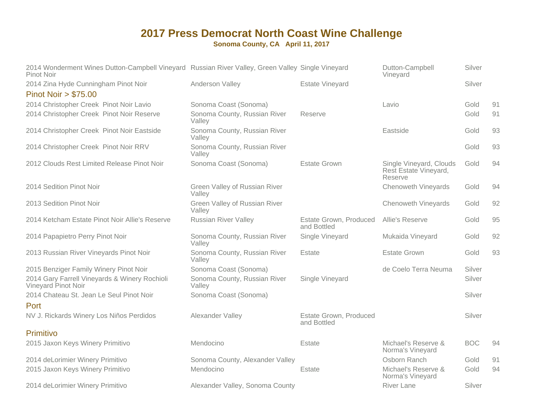#### **2017 Press Democrat North Coast Wine ChallengeSonoma County, CA April 11, 2017**

| 2014 Wonderment Wines Dutton-Campbell Vineyard Russian River Valley, Green Valley Single Vineyard<br>Pinot Noir |                                         |                                       | Dutton-Campbell<br>Vineyard                                 | Silver     |    |
|-----------------------------------------------------------------------------------------------------------------|-----------------------------------------|---------------------------------------|-------------------------------------------------------------|------------|----|
| 2014 Zina Hyde Cunningham Pinot Noir                                                                            | Anderson Valley                         | <b>Estate Vineyard</b>                |                                                             | Silver     |    |
| <b>Pinot Noir &gt; \$75.00</b>                                                                                  |                                         |                                       |                                                             |            |    |
| 2014 Christopher Creek Pinot Noir Lavio                                                                         | Sonoma Coast (Sonoma)                   |                                       | Lavio                                                       | Gold       | 91 |
| 2014 Christopher Creek Pinot Noir Reserve                                                                       | Sonoma County, Russian River<br>Valley  | Reserve                               |                                                             | Gold       | 91 |
| 2014 Christopher Creek Pinot Noir Eastside                                                                      | Sonoma County, Russian River<br>Valley  |                                       | Eastside                                                    | Gold       | 93 |
| 2014 Christopher Creek Pinot Noir RRV                                                                           | Sonoma County, Russian River<br>Valley  |                                       |                                                             | Gold       | 93 |
| 2012 Clouds Rest Limited Release Pinot Noir                                                                     | Sonoma Coast (Sonoma)                   | <b>Estate Grown</b>                   | Single Vineyard, Clouds<br>Rest Estate Vineyard,<br>Reserve | Gold       | 94 |
| 2014 Sedition Pinot Noir                                                                                        | Green Valley of Russian River<br>Valley |                                       | <b>Chenoweth Vineyards</b>                                  | Gold       | 94 |
| 2013 Sedition Pinot Noir                                                                                        | Green Valley of Russian River<br>Valley |                                       | <b>Chenoweth Vineyards</b>                                  | Gold       | 92 |
| 2014 Ketcham Estate Pinot Noir Allie's Reserve                                                                  | <b>Russian River Valley</b>             | Estate Grown, Produced<br>and Bottled | Allie's Reserve                                             | Gold       | 95 |
| 2014 Papapietro Perry Pinot Noir                                                                                | Sonoma County, Russian River<br>Valley  | Single Vineyard                       | Mukaida Vineyard                                            | Gold       | 92 |
| 2013 Russian River Vineyards Pinot Noir                                                                         | Sonoma County, Russian River<br>Valley  | Estate                                | <b>Estate Grown</b>                                         | Gold       | 93 |
| 2015 Benziger Family Winery Pinot Noir                                                                          | Sonoma Coast (Sonoma)                   |                                       | de Coelo Terra Neuma                                        | Silver     |    |
| 2014 Gary Farrell Vineyards & Winery Rochioli<br>Vineyard Pinot Noir                                            | Sonoma County, Russian River<br>Valley  | Single Vineyard                       |                                                             | Silver     |    |
| 2014 Chateau St. Jean Le Seul Pinot Noir<br>Port                                                                | Sonoma Coast (Sonoma)                   |                                       |                                                             | Silver     |    |
| NV J. Rickards Winery Los Niños Perdidos                                                                        | Alexander Valley                        | Estate Grown, Produced<br>and Bottled |                                                             | Silver     |    |
| Primitivo                                                                                                       |                                         |                                       |                                                             |            |    |
| 2015 Jaxon Keys Winery Primitivo                                                                                | Mendocino                               | Estate                                | Michael's Reserve &<br>Norma's Vineyard                     | <b>BOC</b> | 94 |
| 2014 deLorimier Winery Primitivo                                                                                | Sonoma County, Alexander Valley         |                                       | Osborn Ranch                                                | Gold       | 91 |
| 2015 Jaxon Keys Winery Primitivo                                                                                | Mendocino                               | Estate                                | Michael's Reserve &<br>Norma's Vineyard                     | Gold       | 94 |
| 2014 deLorimier Winery Primitivo                                                                                | Alexander Valley, Sonoma County         |                                       | <b>River Lane</b>                                           | Silver     |    |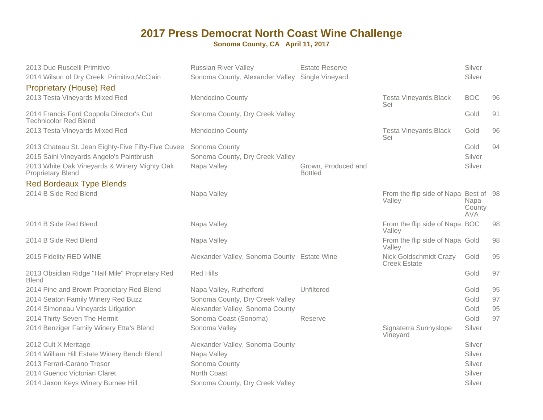| 2013 Due Ruscelli Primitivo<br>2014 Wilson of Dry Creek Primitivo, McClain<br><b>Proprietary (House) Red</b>                                                               | <b>Russian River Valley</b><br>Sonoma County, Alexander Valley Single Vineyard | <b>Estate Reserve</b>                 |                                                 | Silver<br>Silver             |    |
|----------------------------------------------------------------------------------------------------------------------------------------------------------------------------|--------------------------------------------------------------------------------|---------------------------------------|-------------------------------------------------|------------------------------|----|
| 2013 Testa Vineyards Mixed Red                                                                                                                                             | <b>Mendocino County</b>                                                        |                                       | <b>Testa Vineyards, Black</b><br>Sei            | <b>BOC</b>                   | 96 |
| 2014 Francis Ford Coppola Director's Cut<br><b>Technicolor Red Blend</b>                                                                                                   | Sonoma County, Dry Creek Valley                                                |                                       |                                                 | Gold                         | 91 |
| 2013 Testa Vineyards Mixed Red                                                                                                                                             | <b>Mendocino County</b>                                                        |                                       | Testa Vineyards, Black<br>Sei                   | Gold                         | 96 |
| 2013 Chateau St. Jean Eighty-Five Fifty-Five Cuvee<br>2015 Saini Vineyards Angelo's Paintbrush<br>2013 White Oak Vineyards & Winery Mighty Oak<br><b>Proprietary Blend</b> | Sonoma County<br>Sonoma County, Dry Creek Valley<br>Napa Valley                | Grown, Produced and<br><b>Bottled</b> |                                                 | Gold<br>Silver<br>Silver     | 94 |
| <b>Red Bordeaux Type Blends</b>                                                                                                                                            |                                                                                |                                       |                                                 |                              |    |
| 2014 B Side Red Blend                                                                                                                                                      | Napa Valley                                                                    |                                       | From the flip side of Napa Best of 98<br>Valley | Napa<br>County<br><b>AVA</b> |    |
| 2014 B Side Red Blend                                                                                                                                                      | Napa Valley                                                                    |                                       | From the flip side of Napa BOC<br>Valley        |                              | 98 |
| 2014 B Side Red Blend                                                                                                                                                      | Napa Valley                                                                    |                                       | From the flip side of Napa Gold<br>Valley       |                              | 98 |
| 2015 Fidelity RED WINE                                                                                                                                                     | Alexander Valley, Sonoma County Estate Wine                                    |                                       | Nick Goldschmidt Crazy<br><b>Creek Estate</b>   | Gold                         | 95 |
| 2013 Obsidian Ridge "Half Mile" Proprietary Red<br><b>Blend</b>                                                                                                            | <b>Red Hills</b>                                                               |                                       |                                                 | Gold                         | 97 |
| 2014 Pine and Brown Proprietary Red Blend                                                                                                                                  | Napa Valley, Rutherford                                                        | Unfiltered                            |                                                 | Gold                         | 95 |
| 2014 Seaton Family Winery Red Buzz                                                                                                                                         | Sonoma County, Dry Creek Valley                                                |                                       |                                                 | Gold                         | 97 |
| 2014 Simoneau Vineyards Litigation                                                                                                                                         | Alexander Valley, Sonoma County                                                |                                       |                                                 | Gold                         | 95 |
| 2014 Thirty-Seven The Hermit                                                                                                                                               | Sonoma Coast (Sonoma)                                                          | Reserve                               |                                                 | Gold                         | 97 |
| 2014 Benziger Family Winery Etta's Blend                                                                                                                                   | Sonoma Valley                                                                  |                                       | Signaterra Sunnyslope<br>Vineyard               | Silver                       |    |
| 2012 Cult X Meritage                                                                                                                                                       | Alexander Valley, Sonoma County                                                |                                       |                                                 | Silver                       |    |
| 2014 William Hill Estate Winery Bench Blend                                                                                                                                | Napa Valley                                                                    |                                       |                                                 | Silver                       |    |
| 2013 Ferrari-Carano Tresor                                                                                                                                                 | Sonoma County                                                                  |                                       |                                                 | Silver                       |    |
| 2014 Guenoc Victorian Claret                                                                                                                                               | North Coast                                                                    |                                       |                                                 | Silver                       |    |
| 2014 Jaxon Keys Winery Burnee Hill                                                                                                                                         | Sonoma County, Dry Creek Valley                                                |                                       |                                                 | Silver                       |    |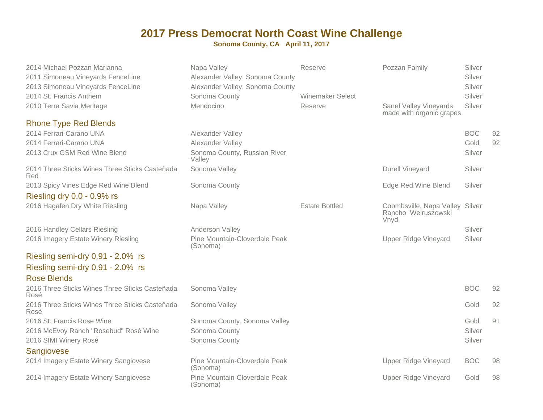| 2014 Michael Pozzan Marianna<br>2011 Simoneau Vineyards FenceLine<br>2013 Simoneau Vineyards FenceLine | Napa Valley<br>Alexander Valley, Sonoma County<br>Alexander Valley, Sonoma County | Reserve                 | Pozzan Family                                                  | Silver<br>Silver<br>Silver |    |
|--------------------------------------------------------------------------------------------------------|-----------------------------------------------------------------------------------|-------------------------|----------------------------------------------------------------|----------------------------|----|
| 2014 St. Francis Anthem                                                                                | Sonoma County                                                                     | <b>Winemaker Select</b> |                                                                | Silver                     |    |
| 2010 Terra Savia Meritage                                                                              | Mendocino                                                                         | Reserve                 | <b>Sanel Valley Vineyards</b><br>made with organic grapes      | Silver                     |    |
| <b>Rhone Type Red Blends</b>                                                                           |                                                                                   |                         |                                                                |                            |    |
| 2014 Ferrari-Carano UNA                                                                                | Alexander Valley                                                                  |                         |                                                                | <b>BOC</b>                 | 92 |
| 2014 Ferrari-Carano UNA                                                                                | Alexander Valley                                                                  |                         |                                                                | Gold                       | 92 |
| 2013 Crux GSM Red Wine Blend                                                                           | Sonoma County, Russian River<br>Valley                                            |                         |                                                                | Silver                     |    |
| 2014 Three Sticks Wines Three Sticks Casteñada<br>Red                                                  | Sonoma Valley                                                                     |                         | <b>Durell Vineyard</b>                                         | Silver                     |    |
| 2013 Spicy Vines Edge Red Wine Blend                                                                   | Sonoma County                                                                     |                         | Edge Red Wine Blend                                            | Silver                     |    |
| Riesling dry 0.0 - 0.9% rs                                                                             |                                                                                   |                         |                                                                |                            |    |
| 2016 Hagafen Dry White Riesling                                                                        | Napa Valley                                                                       | <b>Estate Bottled</b>   | Coombsville, Napa Valley Silver<br>Rancho Weiruszowski<br>Vnyd |                            |    |
| 2016 Handley Cellars Riesling                                                                          | Anderson Valley                                                                   |                         |                                                                | Silver                     |    |
| 2016 Imagery Estate Winery Riesling                                                                    | Pine Mountain-Cloverdale Peak<br>(Sonoma)                                         |                         | <b>Upper Ridge Vineyard</b>                                    | Silver                     |    |
| Riesling semi-dry 0.91 - 2.0% rs                                                                       |                                                                                   |                         |                                                                |                            |    |
| Riesling semi-dry 0.91 - 2.0% rs                                                                       |                                                                                   |                         |                                                                |                            |    |
| <b>Rose Blends</b>                                                                                     |                                                                                   |                         |                                                                |                            |    |
| 2016 Three Sticks Wines Three Sticks Casteñada<br>Rosé                                                 | Sonoma Valley                                                                     |                         |                                                                | <b>BOC</b>                 | 92 |
| 2016 Three Sticks Wines Three Sticks Casteñada<br>Rosé                                                 | Sonoma Valley                                                                     |                         |                                                                | Gold                       | 92 |
| 2016 St. Francis Rose Wine                                                                             | Sonoma County, Sonoma Valley                                                      |                         |                                                                | Gold                       | 91 |
| 2016 McEvoy Ranch "Rosebud" Rosé Wine                                                                  | Sonoma County                                                                     |                         |                                                                | Silver                     |    |
| 2016 SIMI Winery Rosé                                                                                  | Sonoma County                                                                     |                         |                                                                | Silver                     |    |
| Sangiovese                                                                                             |                                                                                   |                         |                                                                |                            |    |
| 2014 Imagery Estate Winery Sangiovese                                                                  | Pine Mountain-Cloverdale Peak<br>(Sonoma)                                         |                         | <b>Upper Ridge Vineyard</b>                                    | <b>BOC</b>                 | 98 |
| 2014 Imagery Estate Winery Sangiovese                                                                  | Pine Mountain-Cloverdale Peak<br>(Sonoma)                                         |                         | <b>Upper Ridge Vineyard</b>                                    | Gold                       | 98 |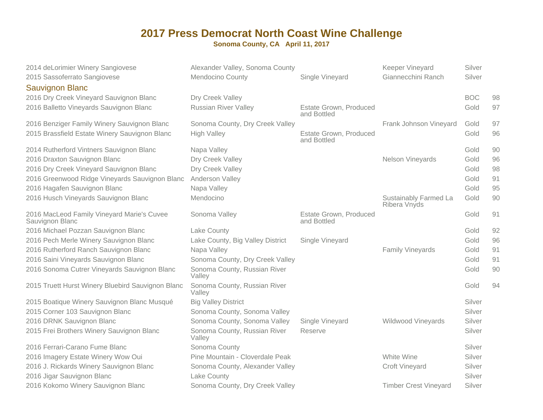| 2014 deLorimier Winery Sangiovese<br>2015 Sassoferrato Sangiovese<br><b>Sauvignon Blanc</b> | Alexander Valley, Sonoma County<br>Mendocino County | Single Vineyard                       | Keeper Vineyard<br>Giannecchini Ranch | Silver<br>Silver |    |
|---------------------------------------------------------------------------------------------|-----------------------------------------------------|---------------------------------------|---------------------------------------|------------------|----|
| 2016 Dry Creek Vineyard Sauvignon Blanc                                                     | Dry Creek Valley                                    |                                       |                                       | <b>BOC</b>       | 98 |
| 2016 Balletto Vineyards Sauvignon Blanc                                                     | <b>Russian River Valley</b>                         | Estate Grown, Produced<br>and Bottled |                                       | Gold             | 97 |
| 2016 Benziger Family Winery Sauvignon Blanc                                                 | Sonoma County, Dry Creek Valley                     |                                       | Frank Johnson Vineyard                | Gold             | 97 |
| 2015 Brassfield Estate Winery Sauvignon Blanc                                               | <b>High Valley</b>                                  | Estate Grown, Produced<br>and Bottled |                                       | Gold             | 96 |
| 2014 Rutherford Vintners Sauvignon Blanc                                                    | Napa Valley                                         |                                       |                                       | Gold             | 90 |
| 2016 Draxton Sauvignon Blanc                                                                | Dry Creek Valley                                    |                                       | Nelson Vineyards                      | Gold             | 96 |
| 2016 Dry Creek Vineyard Sauvignon Blanc                                                     | Dry Creek Valley                                    |                                       |                                       | Gold             | 98 |
| 2016 Greenwood Ridge Vineyards Sauvignon Blanc                                              | Anderson Valley                                     |                                       |                                       | Gold             | 91 |
| 2016 Hagafen Sauvignon Blanc                                                                | Napa Valley                                         |                                       |                                       | Gold             | 95 |
| 2016 Husch Vineyards Sauvignon Blanc                                                        | Mendocino                                           |                                       | Sustainably Farmed La<br>Ribera Vnyds | Gold             | 90 |
| 2016 MacLeod Family Vineyard Marie's Cuvee<br>Sauvignon Blanc                               | Sonoma Valley                                       | Estate Grown, Produced<br>and Bottled |                                       | Gold             | 91 |
| 2016 Michael Pozzan Sauvignon Blanc                                                         | Lake County                                         |                                       |                                       | Gold             | 92 |
| 2016 Pech Merle Winery Sauvignon Blanc                                                      | Lake County, Big Valley District                    | Single Vineyard                       |                                       | Gold             | 96 |
| 2016 Rutherford Ranch Sauvignon Blanc                                                       | Napa Valley                                         |                                       | <b>Family Vineyards</b>               | Gold             | 91 |
| 2016 Saini Vineyards Sauvignon Blanc                                                        | Sonoma County, Dry Creek Valley                     |                                       |                                       | Gold             | 91 |
| 2016 Sonoma Cutrer Vineyards Sauvignon Blanc                                                | Sonoma County, Russian River<br>Valley              |                                       |                                       | Gold             | 90 |
| 2015 Truett Hurst Winery Bluebird Sauvignon Blanc                                           | Sonoma County, Russian River<br>Valley              |                                       |                                       | Gold             | 94 |
| 2015 Boatique Winery Sauvignon Blanc Musqué                                                 | <b>Big Valley District</b>                          |                                       |                                       | Silver           |    |
| 2015 Corner 103 Sauvignon Blanc                                                             | Sonoma County, Sonoma Valley                        |                                       |                                       | Silver           |    |
| 2016 DRNK Sauvignon Blanc                                                                   | Sonoma County, Sonoma Valley                        | Single Vineyard                       | Wildwood Vineyards                    | Silver           |    |
| 2015 Frei Brothers Winery Sauvignon Blanc                                                   | Sonoma County, Russian River<br>Valley              | Reserve                               |                                       | Silver           |    |
| 2016 Ferrari-Carano Fume Blanc                                                              | Sonoma County                                       |                                       |                                       | Silver           |    |
| 2016 Imagery Estate Winery Wow Oui                                                          | Pine Mountain - Cloverdale Peak                     |                                       | White Wine                            | Silver           |    |
| 2016 J. Rickards Winery Sauvignon Blanc                                                     | Sonoma County, Alexander Valley                     |                                       | <b>Croft Vineyard</b>                 | Silver           |    |
| 2016 Jigar Sauvignon Blanc                                                                  | Lake County                                         |                                       |                                       | Silver           |    |
| 2016 Kokomo Winery Sauvignon Blanc                                                          | Sonoma County, Dry Creek Valley                     |                                       | <b>Timber Crest Vineyard</b>          | Silver           |    |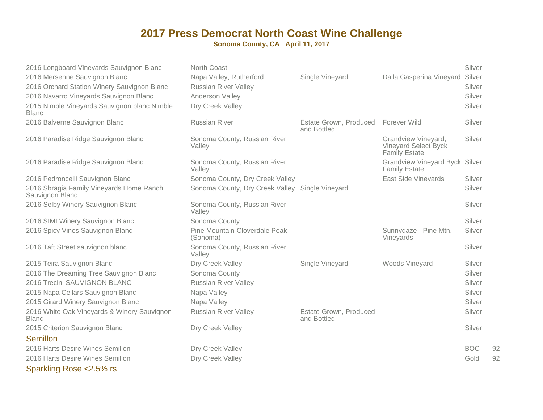**Sonoma County, CA April 11, 2017**

| 2016 Longboard Vineyards Sauvignon Blanc<br>2016 Mersenne Sauvignon Blanc<br>2016 Orchard Station Winery Sauvignon Blanc<br>2016 Navarro Vineyards Sauvignon Blanc<br>2015 Nimble Vineyards Sauvignon blanc Nimble<br><b>Blanc</b> | North Coast<br>Napa Valley, Rutherford<br><b>Russian River Valley</b><br>Anderson Valley<br>Dry Creek Valley | Single Vineyard                       | Dalla Gasperina Vineyard Silver                                     | Silver<br>Silver<br>Silver<br>Silver |    |
|------------------------------------------------------------------------------------------------------------------------------------------------------------------------------------------------------------------------------------|--------------------------------------------------------------------------------------------------------------|---------------------------------------|---------------------------------------------------------------------|--------------------------------------|----|
| 2016 Balverne Sauvignon Blanc                                                                                                                                                                                                      | <b>Russian River</b>                                                                                         | Estate Grown, Produced<br>and Bottled | Forever Wild                                                        | Silver                               |    |
| 2016 Paradise Ridge Sauvignon Blanc                                                                                                                                                                                                | Sonoma County, Russian River<br>Valley                                                                       |                                       | Grandview Vineyard,<br>Vineyard Select Byck<br><b>Family Estate</b> | Silver                               |    |
| 2016 Paradise Ridge Sauvignon Blanc                                                                                                                                                                                                | Sonoma County, Russian River<br>Valley                                                                       |                                       | <b>Grandview Vineyard Byck Silver</b><br><b>Family Estate</b>       |                                      |    |
| 2016 Pedroncelli Sauvignon Blanc                                                                                                                                                                                                   | Sonoma County, Dry Creek Valley                                                                              |                                       | <b>East Side Vineyards</b>                                          | Silver                               |    |
| 2016 Sbragia Family Vineyards Home Ranch<br>Sauvignon Blanc                                                                                                                                                                        | Sonoma County, Dry Creek Valley Single Vineyard                                                              |                                       |                                                                     | Silver                               |    |
| 2016 Selby Winery Sauvignon Blanc                                                                                                                                                                                                  | Sonoma County, Russian River<br>Valley                                                                       |                                       |                                                                     | Silver                               |    |
| 2016 SIMI Winery Sauvignon Blanc                                                                                                                                                                                                   | Sonoma County                                                                                                |                                       |                                                                     | Silver                               |    |
| 2016 Spicy Vines Sauvignon Blanc                                                                                                                                                                                                   | Pine Mountain-Cloverdale Peak<br>(Sonoma)                                                                    |                                       | Sunnydaze - Pine Mtn.<br>Vineyards                                  | Silver                               |    |
| 2016 Taft Street sauvignon blanc                                                                                                                                                                                                   | Sonoma County, Russian River<br>Valley                                                                       |                                       |                                                                     | Silver                               |    |
| 2015 Teira Sauvignon Blanc                                                                                                                                                                                                         | Dry Creek Valley                                                                                             | Single Vineyard                       | Woods Vineyard                                                      | Silver                               |    |
| 2016 The Dreaming Tree Sauvignon Blanc                                                                                                                                                                                             | Sonoma County                                                                                                |                                       |                                                                     | Silver                               |    |
| 2016 Trecini SAUVIGNON BLANC                                                                                                                                                                                                       | <b>Russian River Valley</b>                                                                                  |                                       |                                                                     | Silver                               |    |
| 2015 Napa Cellars Sauvignon Blanc                                                                                                                                                                                                  | Napa Valley                                                                                                  |                                       |                                                                     | Silver                               |    |
| 2015 Girard Winery Sauvignon Blanc                                                                                                                                                                                                 | Napa Valley                                                                                                  |                                       |                                                                     | Silver                               |    |
| 2016 White Oak Vineyards & Winery Sauvignon<br><b>Blanc</b>                                                                                                                                                                        | <b>Russian River Valley</b>                                                                                  | Estate Grown, Produced<br>and Bottled |                                                                     | Silver                               |    |
| 2015 Criterion Sauvignon Blanc                                                                                                                                                                                                     | Dry Creek Valley                                                                                             |                                       |                                                                     | Silver                               |    |
| Semillon                                                                                                                                                                                                                           |                                                                                                              |                                       |                                                                     |                                      |    |
| 2016 Harts Desire Wines Semillon                                                                                                                                                                                                   | Dry Creek Valley                                                                                             |                                       |                                                                     | <b>BOC</b>                           | 92 |
| 2016 Harts Desire Wines Semillon                                                                                                                                                                                                   | Dry Creek Valley                                                                                             |                                       |                                                                     | Gold                                 | 92 |

Sparkling Rose <2.5% rs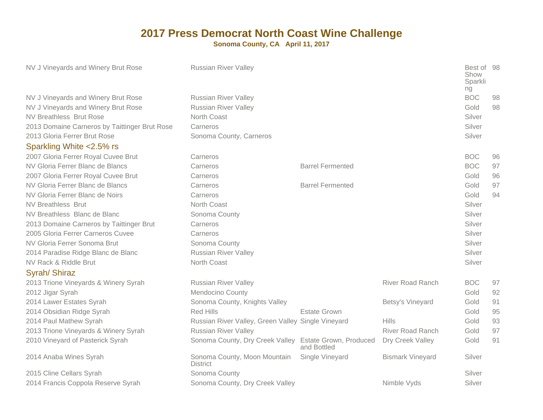|                                                                              |                                                                                           | Best of 98<br>Show<br>Sparkli<br>ng |    |
|------------------------------------------------------------------------------|-------------------------------------------------------------------------------------------|-------------------------------------|----|
| NV J Vineyards and Winery Brut Rose<br><b>Russian River Valley</b>           |                                                                                           | <b>BOC</b>                          | 98 |
| NV J Vineyards and Winery Brut Rose<br><b>Russian River Valley</b>           |                                                                                           | Gold                                | 98 |
| <b>NV Breathless Brut Rose</b><br>North Coast                                |                                                                                           | Silver                              |    |
| 2013 Domaine Carneros by Taittinger Brut Rose<br>Carneros                    |                                                                                           | Silver                              |    |
| 2013 Gloria Ferrer Brut Rose<br>Sonoma County, Carneros                      |                                                                                           | Silver                              |    |
| Sparkling White <2.5% rs                                                     |                                                                                           |                                     |    |
| 2007 Gloria Ferrer Royal Cuvee Brut<br>Carneros                              |                                                                                           | <b>BOC</b>                          | 96 |
| NV Gloria Ferrer Blanc de Blancs<br>Carneros                                 | <b>Barrel Fermented</b>                                                                   | <b>BOC</b>                          | 97 |
| 2007 Gloria Ferrer Royal Cuvee Brut<br>Carneros                              |                                                                                           | Gold                                | 96 |
| NV Gloria Ferrer Blanc de Blancs<br>Carneros                                 | <b>Barrel Fermented</b>                                                                   | Gold                                | 97 |
| NV Gloria Ferrer Blanc de Noirs<br>Carneros                                  |                                                                                           | Gold                                | 94 |
| North Coast<br><b>NV Breathless Brut</b>                                     |                                                                                           | Silver                              |    |
| NV Breathless Blanc de Blanc<br>Sonoma County                                |                                                                                           | Silver                              |    |
| 2013 Domaine Carneros by Taittinger Brut<br>Carneros                         |                                                                                           | Silver                              |    |
| 2005 Gloria Ferrer Carneros Cuvee<br>Carneros                                |                                                                                           | Silver                              |    |
| NV Gloria Ferrer Sonoma Brut<br>Sonoma County                                |                                                                                           | Silver                              |    |
| 2014 Paradise Ridge Blanc de Blanc<br><b>Russian River Valley</b>            |                                                                                           | Silver                              |    |
| NV Rack & Riddle Brut<br>North Coast                                         |                                                                                           | Silver                              |    |
| Syrah/ Shiraz                                                                |                                                                                           |                                     |    |
| 2013 Trione Vineyards & Winery Syrah<br>Russian River Valley                 | <b>River Road Ranch</b>                                                                   | <b>BOC</b>                          | 97 |
| Mendocino County<br>2012 Jigar Syrah                                         |                                                                                           | Gold                                | 92 |
| 2014 Lawer Estates Syrah<br>Sonoma County, Knights Valley                    | Betsy's Vineyard                                                                          | Gold                                | 91 |
| 2014 Obsidian Ridge Syrah<br><b>Red Hills</b>                                | <b>Estate Grown</b>                                                                       | Gold                                | 95 |
| 2014 Paul Mathew Syrah<br>Russian River Valley, Green Valley Single Vineyard | <b>Hills</b>                                                                              | Gold                                | 93 |
| 2013 Trione Vineyards & Winery Syrah<br><b>Russian River Valley</b>          | <b>River Road Ranch</b>                                                                   | Gold                                | 97 |
| 2010 Vineyard of Pasterick Syrah                                             | Sonoma County, Dry Creek Valley Estate Grown, Produced<br>Dry Creek Valley<br>and Bottled | Gold                                | 91 |
| 2014 Anaba Wines Syrah<br>Sonoma County, Moon Mountain<br><b>District</b>    | <b>Bismark Vineyard</b><br>Single Vineyard                                                | Silver                              |    |
| 2015 Cline Cellars Syrah<br>Sonoma County                                    |                                                                                           | Silver                              |    |
| 2014 Francis Coppola Reserve Syrah<br>Sonoma County, Dry Creek Valley        | Nimble Vyds                                                                               | Silver                              |    |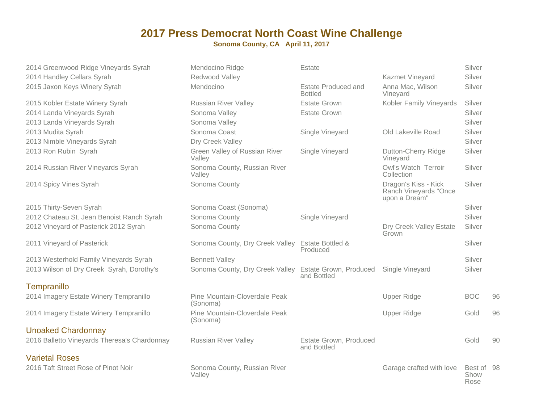| 2014 Greenwood Ridge Vineyards Syrah         | Mendocino Ridge                                        | Estate                                       |                                                                | Silver                     |    |
|----------------------------------------------|--------------------------------------------------------|----------------------------------------------|----------------------------------------------------------------|----------------------------|----|
| 2014 Handley Cellars Syrah                   | Redwood Valley                                         |                                              | Kazmet Vineyard                                                | Silver                     |    |
| 2015 Jaxon Keys Winery Syrah                 | Mendocino                                              | <b>Estate Produced and</b><br><b>Bottled</b> | Anna Mac, Wilson<br>Vineyard                                   | Silver                     |    |
| 2015 Kobler Estate Winery Syrah              | <b>Russian River Valley</b>                            | <b>Estate Grown</b>                          | Kobler Family Vineyards                                        | Silver                     |    |
| 2014 Landa Vineyards Syrah                   | Sonoma Valley                                          | <b>Estate Grown</b>                          |                                                                | Silver                     |    |
| 2013 Landa Vineyards Syrah                   | Sonoma Valley                                          |                                              |                                                                | Silver                     |    |
| 2013 Mudita Syrah                            | Sonoma Coast                                           | Single Vineyard                              | Old Lakeville Road                                             | Silver                     |    |
| 2013 Nimble Vineyards Syrah                  | Dry Creek Valley                                       |                                              |                                                                | Silver                     |    |
| 2013 Ron Rubin Syrah                         | Green Valley of Russian River<br>Valley                | Single Vineyard                              | Dutton-Cherry Ridge<br>Vineyard                                | Silver                     |    |
| 2014 Russian River Vineyards Syrah           | Sonoma County, Russian River<br>Valley                 |                                              | Owl's Watch Terroir<br>Collection                              | Silver                     |    |
| 2014 Spicy Vines Syrah                       | Sonoma County                                          |                                              | Dragon's Kiss - Kick<br>Ranch Vineyards "Once<br>upon a Dream" | Silver                     |    |
| 2015 Thirty-Seven Syrah                      | Sonoma Coast (Sonoma)                                  |                                              |                                                                | Silver                     |    |
| 2012 Chateau St. Jean Benoist Ranch Syrah    | Sonoma County                                          | Single Vineyard                              |                                                                | Silver                     |    |
| 2012 Vineyard of Pasterick 2012 Syrah        | Sonoma County                                          |                                              | Dry Creek Valley Estate<br>Grown                               | Silver                     |    |
| 2011 Vineyard of Pasterick                   | Sonoma County, Dry Creek Valley                        | <b>Estate Bottled &amp;</b><br>Produced      |                                                                | Silver                     |    |
| 2013 Westerhold Family Vineyards Syrah       | <b>Bennett Valley</b>                                  |                                              |                                                                | Silver                     |    |
| 2013 Wilson of Dry Creek Syrah, Dorothy's    | Sonoma County, Dry Creek Valley Estate Grown, Produced | and Bottled                                  | Single Vineyard                                                | Silver                     |    |
| Tempranillo                                  |                                                        |                                              |                                                                |                            |    |
| 2014 Imagery Estate Winery Tempranillo       | Pine Mountain-Cloverdale Peak<br>(Sonoma)              |                                              | <b>Upper Ridge</b>                                             | <b>BOC</b>                 | 96 |
| 2014 Imagery Estate Winery Tempranillo       | Pine Mountain-Cloverdale Peak<br>(Sonoma)              |                                              | <b>Upper Ridge</b>                                             | Gold                       | 96 |
| <b>Unoaked Chardonnay</b>                    |                                                        |                                              |                                                                |                            |    |
| 2016 Balletto Vineyards Theresa's Chardonnay | <b>Russian River Valley</b>                            | Estate Grown, Produced<br>and Bottled        |                                                                | Gold                       | 90 |
| <b>Varietal Roses</b>                        |                                                        |                                              |                                                                |                            |    |
| 2016 Taft Street Rose of Pinot Noir          | Sonoma County, Russian River<br>Valley                 |                                              | Garage crafted with love                                       | Best of 98<br>Show<br>Rose |    |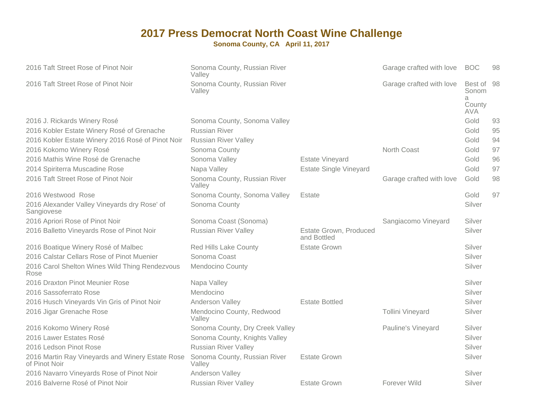| 2016 Taft Street Rose of Pinot Noir                               | Sonoma County, Russian River<br>Valley |                                       | Garage crafted with love | <b>BOC</b>                                    | 98 |
|-------------------------------------------------------------------|----------------------------------------|---------------------------------------|--------------------------|-----------------------------------------------|----|
| 2016 Taft Street Rose of Pinot Noir                               | Sonoma County, Russian River<br>Valley |                                       | Garage crafted with love | Best of<br>Sonom<br>a<br>County<br><b>AVA</b> | 98 |
| 2016 J. Rickards Winery Rosé                                      | Sonoma County, Sonoma Valley           |                                       |                          | Gold                                          | 93 |
| 2016 Kobler Estate Winery Rosé of Grenache                        | <b>Russian River</b>                   |                                       |                          | Gold                                          | 95 |
| 2016 Kobler Estate Winery 2016 Rosé of Pinot Noir                 | <b>Russian River Valley</b>            |                                       |                          | Gold                                          | 94 |
| 2016 Kokomo Winery Rosé                                           | Sonoma County                          |                                       | North Coast              | Gold                                          | 97 |
| 2016 Mathis Wine Rosé de Grenache                                 | Sonoma Valley                          | <b>Estate Vineyard</b>                |                          | Gold                                          | 96 |
| 2014 Spiriterra Muscadine Rose                                    | Napa Valley                            | <b>Estate Single Vineyard</b>         |                          | Gold                                          | 97 |
| 2016 Taft Street Rose of Pinot Noir                               | Sonoma County, Russian River<br>Valley |                                       | Garage crafted with love | Gold                                          | 98 |
| 2016 Westwood Rose                                                | Sonoma County, Sonoma Valley           | Estate                                |                          | Gold                                          | 97 |
| 2016 Alexander Valley Vineyards dry Rose' of<br>Sangiovese        | Sonoma County                          |                                       |                          | Silver                                        |    |
| 2016 Apriori Rose of Pinot Noir                                   | Sonoma Coast (Sonoma)                  |                                       | Sangiacomo Vineyard      | Silver                                        |    |
| 2016 Balletto Vineyards Rose of Pinot Noir                        | <b>Russian River Valley</b>            | Estate Grown, Produced<br>and Bottled |                          | Silver                                        |    |
| 2016 Boatique Winery Rosé of Malbec                               | <b>Red Hills Lake County</b>           | <b>Estate Grown</b>                   |                          | Silver                                        |    |
| 2016 Calstar Cellars Rose of Pinot Muenier                        | Sonoma Coast                           |                                       |                          | Silver                                        |    |
| 2016 Carol Shelton Wines Wild Thing Rendezvous<br>Rose            | <b>Mendocino County</b>                |                                       |                          | Silver                                        |    |
| 2016 Draxton Pinot Meunier Rose                                   | Napa Valley                            |                                       |                          | Silver                                        |    |
| 2016 Sassoferrato Rose                                            | Mendocino                              |                                       |                          | Silver                                        |    |
| 2016 Husch Vineyards Vin Gris of Pinot Noir                       | Anderson Valley                        | <b>Estate Bottled</b>                 |                          | Silver                                        |    |
| 2016 Jigar Grenache Rose                                          | Mendocino County, Redwood<br>Valley    |                                       | <b>Tollini Vineyard</b>  | Silver                                        |    |
| 2016 Kokomo Winery Rosé                                           | Sonoma County, Dry Creek Valley        |                                       | Pauline's Vineyard       | Silver                                        |    |
| 2016 Lawer Estates Rosé                                           | Sonoma County, Knights Valley          |                                       |                          | Silver                                        |    |
| 2016 Ledson Pinot Rose                                            | <b>Russian River Valley</b>            |                                       |                          | Silver                                        |    |
| 2016 Martin Ray Vineyards and Winery Estate Rose<br>of Pinot Noir | Sonoma County, Russian River<br>Valley | <b>Estate Grown</b>                   |                          | Silver                                        |    |
| 2016 Navarro Vineyards Rose of Pinot Noir                         | Anderson Valley                        |                                       |                          | Silver                                        |    |
| 2016 Balverne Rosé of Pinot Noir                                  | <b>Russian River Valley</b>            | Estate Grown                          | Forever Wild             | Silver                                        |    |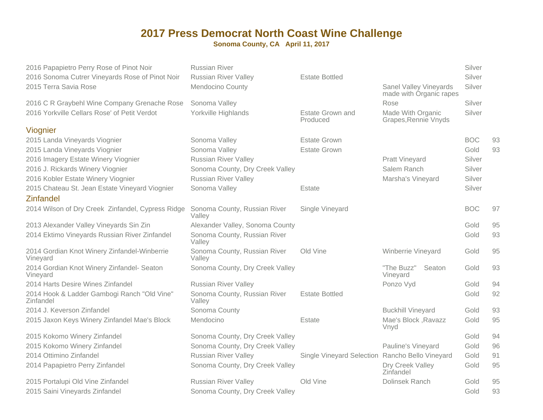| 2016 Papapietro Perry Rose of Pinot Noir                 | <b>Russian River</b>                   |                                                 |                                                   | Silver     |    |
|----------------------------------------------------------|----------------------------------------|-------------------------------------------------|---------------------------------------------------|------------|----|
| 2016 Sonoma Cutrer Vineyards Rose of Pinot Noir          | <b>Russian River Valley</b>            | <b>Estate Bottled</b>                           |                                                   | Silver     |    |
| 2015 Terra Savia Rose                                    | <b>Mendocino County</b>                |                                                 | Sanel Valley Vineyards<br>made with Organic rapes | Silver     |    |
| 2016 C R Graybehl Wine Company Grenache Rose             | Sonoma Valley                          |                                                 | Rose                                              | Silver     |    |
| 2016 Yorkville Cellars Rose' of Petit Verdot             | Yorkville Highlands                    | <b>Estate Grown and</b><br>Produced             | Made With Organic<br>Grapes, Rennie Vnyds         | Silver     |    |
| Viognier                                                 |                                        |                                                 |                                                   |            |    |
| 2015 Landa Vineyards Viognier                            | Sonoma Valley                          | <b>Estate Grown</b>                             |                                                   | <b>BOC</b> | 93 |
| 2015 Landa Vineyards Viognier                            | Sonoma Valley                          | <b>Estate Grown</b>                             |                                                   | Gold       | 93 |
| 2016 Imagery Estate Winery Viognier                      | <b>Russian River Valley</b>            |                                                 | <b>Pratt Vineyard</b>                             | Silver     |    |
| 2016 J. Rickards Winery Viognier                         | Sonoma County, Dry Creek Valley        |                                                 | Salem Ranch                                       | Silver     |    |
| 2016 Kobler Estate Winery Viognier                       | <b>Russian River Valley</b>            |                                                 | Marsha's Vineyard                                 | Silver     |    |
| 2015 Chateau St. Jean Estate Vineyard Viognier           | Sonoma Valley                          | Estate                                          |                                                   | Silver     |    |
| <b>Zinfandel</b>                                         |                                        |                                                 |                                                   |            |    |
| 2014 Wilson of Dry Creek Zinfandel, Cypress Ridge        | Sonoma County, Russian River<br>Valley | Single Vineyard                                 |                                                   | <b>BOC</b> | 97 |
| 2013 Alexander Valley Vineyards Sin Zin                  | Alexander Valley, Sonoma County        |                                                 |                                                   | Gold       | 95 |
| 2014 Ektimo Vineyards Russian River Zinfandel            | Sonoma County, Russian River<br>Valley |                                                 |                                                   | Gold       | 93 |
| 2014 Gordian Knot Winery Zinfandel-Winberrie<br>Vineyard | Sonoma County, Russian River<br>Valley | Old Vine                                        | Winberrie Vineyard                                | Gold       | 95 |
| 2014 Gordian Knot Winery Zinfandel- Seaton<br>Vineyard   | Sonoma County, Dry Creek Valley        |                                                 | "The Buzz"<br>Seaton<br>Vineyard                  | Gold       | 93 |
| 2014 Harts Desire Wines Zinfandel                        | <b>Russian River Valley</b>            |                                                 | Ponzo Vyd                                         | Gold       | 94 |
| 2014 Hook & Ladder Gambogi Ranch "Old Vine"<br>Zinfandel | Sonoma County, Russian River<br>Valley | <b>Estate Bottled</b>                           |                                                   | Gold       | 92 |
| 2014 J. Keverson Zinfandel                               | Sonoma County                          |                                                 | <b>Buckhill Vineyard</b>                          | Gold       | 93 |
| 2015 Jaxon Keys Winery Zinfandel Mae's Block             | Mendocino                              | Estate                                          | Mae's Block, Ravazz<br>Vnyd                       | Gold       | 95 |
| 2015 Kokomo Winery Zinfandel                             | Sonoma County, Dry Creek Valley        |                                                 |                                                   | Gold       | 94 |
| 2015 Kokomo Winery Zinfandel                             | Sonoma County, Dry Creek Valley        |                                                 | Pauline's Vineyard                                | Gold       | 96 |
| 2014 Ottimino Zinfandel                                  | <b>Russian River Valley</b>            | Single Vineyard Selection Rancho Bello Vineyard |                                                   | Gold       | 91 |
| 2014 Papapietro Perry Zinfandel                          | Sonoma County, Dry Creek Valley        |                                                 | Dry Creek Valley<br>Zinfandel                     | Gold       | 95 |
| 2015 Portalupi Old Vine Zinfandel                        | <b>Russian River Valley</b>            | Old Vine                                        | Dolinsek Ranch                                    | Gold       | 95 |
| 2015 Saini Vineyards Zinfandel                           | Sonoma County, Dry Creek Valley        |                                                 |                                                   | Gold       | 93 |
|                                                          |                                        |                                                 |                                                   |            |    |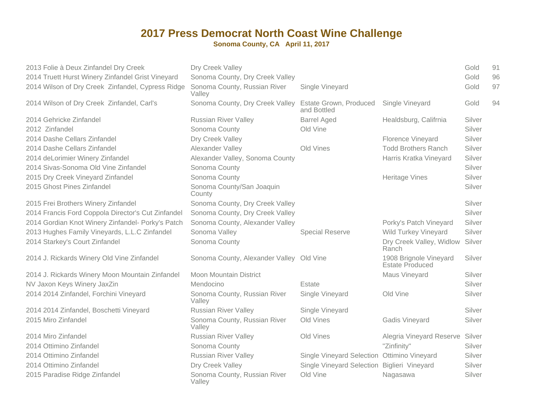| 2013 Folie à Deux Zinfandel Dry Creek<br>2014 Truett Hurst Winery Zinfandel Grist Vineyard | Dry Creek Valley<br>Sonoma County, Dry Creek Valley |                                             |                                                  | Gold<br>Gold | 91<br>96 |
|--------------------------------------------------------------------------------------------|-----------------------------------------------------|---------------------------------------------|--------------------------------------------------|--------------|----------|
| 2014 Wilson of Dry Creek Zinfandel, Cypress Ridge                                          | Sonoma County, Russian River<br>Valley              | Single Vineyard                             |                                                  | Gold         | 97       |
| 2014 Wilson of Dry Creek Zinfandel, Carl's                                                 | Sonoma County, Dry Creek Valley                     | Estate Grown, Produced<br>and Bottled       | Single Vineyard                                  | Gold         | 94       |
| 2014 Gehricke Zinfandel                                                                    | <b>Russian River Valley</b>                         | <b>Barrel Aged</b>                          | Healdsburg, Califrnia                            | Silver       |          |
| 2012 Zinfandel                                                                             | Sonoma County                                       | Old Vine                                    |                                                  | Silver       |          |
| 2014 Dashe Cellars Zinfandel                                                               | Dry Creek Valley                                    |                                             | Florence Vineyard                                | Silver       |          |
| 2014 Dashe Cellars Zinfandel                                                               | Alexander Valley                                    | Old Vines                                   | <b>Todd Brothers Ranch</b>                       | Silver       |          |
| 2014 deLorimier Winery Zinfandel                                                           | Alexander Valley, Sonoma County                     |                                             | Harris Kratka Vineyard                           | Silver       |          |
| 2014 Sivas-Sonoma Old Vine Zinfandel                                                       | Sonoma County                                       |                                             |                                                  | Silver       |          |
| 2015 Dry Creek Vineyard Zinfandel                                                          | Sonoma County                                       |                                             | <b>Heritage Vines</b>                            | Silver       |          |
| 2015 Ghost Pines Zinfandel                                                                 | Sonoma County/San Joaquin<br>County                 |                                             |                                                  | Silver       |          |
| 2015 Frei Brothers Winery Zinfandel                                                        | Sonoma County, Dry Creek Valley                     |                                             |                                                  | Silver       |          |
| 2014 Francis Ford Coppola Director's Cut Zinfandel                                         | Sonoma County, Dry Creek Valley                     |                                             |                                                  | Silver       |          |
| 2014 Gordian Knot Winery Zinfandel- Porky's Patch                                          | Sonoma County, Alexander Valley                     |                                             | Porky's Patch Vineyard                           | Silver       |          |
| 2013 Hughes Family Vineyards, L.L.C Zinfandel                                              | Sonoma Valley                                       | <b>Special Reserve</b>                      | <b>Wild Turkey Vineyard</b>                      | Silver       |          |
| 2014 Starkey's Court Zinfandel                                                             | Sonoma County                                       |                                             | Dry Creek Valley, Widlow<br>Ranch                | Silver       |          |
| 2014 J. Rickards Winery Old Vine Zinfandel                                                 | Sonoma County, Alexander Valley Old Vine            |                                             | 1908 Brignole Vineyard<br><b>Estate Produced</b> | Silver       |          |
| 2014 J. Rickards Winery Moon Mountain Zinfandel                                            | <b>Moon Mountain District</b>                       |                                             | Maus Vineyard                                    | Silver       |          |
| NV Jaxon Keys Winery JaxZin                                                                | Mendocino                                           | Estate                                      |                                                  | Silver       |          |
| 2014 2014 Zinfandel, Forchini Vineyard                                                     | Sonoma County, Russian River<br>Valley              | Single Vineyard                             | Old Vine                                         | Silver       |          |
| 2014 2014 Zinfandel, Boschetti Vineyard                                                    | <b>Russian River Valley</b>                         | Single Vineyard                             |                                                  | Silver       |          |
| 2015 Miro Zinfandel                                                                        | Sonoma County, Russian River<br>Valley              | Old Vines                                   | <b>Gadis Vineyard</b>                            | Silver       |          |
| 2014 Miro Zinfandel                                                                        | <b>Russian River Valley</b>                         | Old Vines                                   | Alegria Vineyard Reserve Silver                  |              |          |
| 2014 Ottimino Zinfandel                                                                    | Sonoma County                                       |                                             | "Zinfinity"                                      | Silver       |          |
| 2014 Ottimino Zinfandel                                                                    | <b>Russian River Valley</b>                         | Single Vineyard Selection Ottimino Vineyard |                                                  | Silver       |          |
| 2014 Ottimino Zinfandel                                                                    | Dry Creek Valley                                    | Single Vineyard Selection Biglieri Vineyard |                                                  | Silver       |          |
| 2015 Paradise Ridge Zinfandel                                                              | Sonoma County, Russian River<br>Valley              | Old Vine                                    | Nagasawa                                         | Silver       |          |